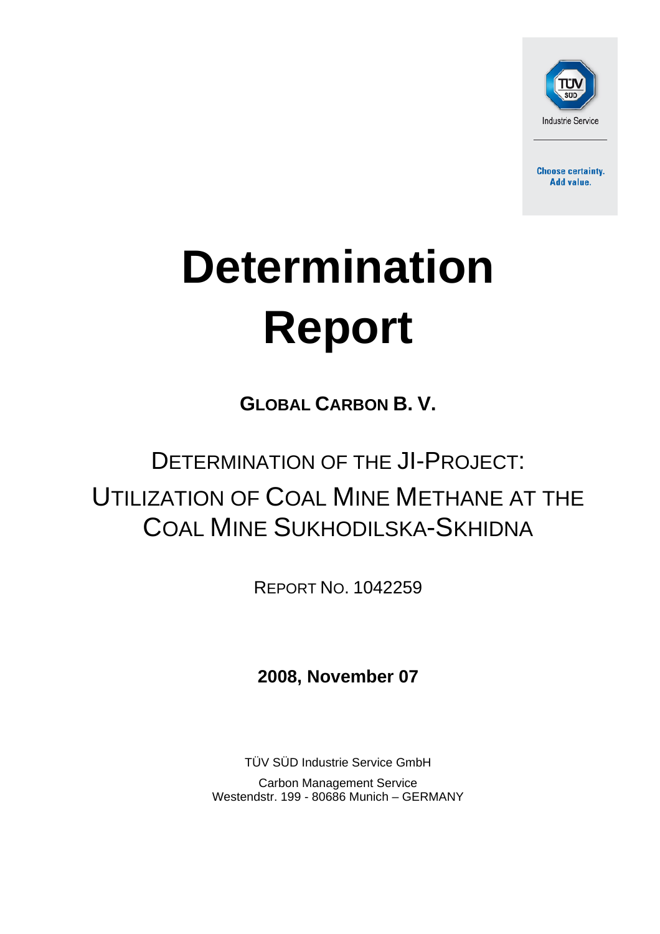

**Choose certainty. Add value.** 

# **Determination Report**

**GLOBAL CARBON B. V.** 

## DETERMINATION OF THE JI-PROJECT: UTILIZATION OF COAL MINE METHANE AT THE COAL MINE SUKHODILSKA-SKHIDNA

REPORT NO. 1042259

**2008, November 07**

TÜV SÜD Industrie Service GmbH Carbon Management Service Westendstr. 199 - 80686 Munich – GERMANY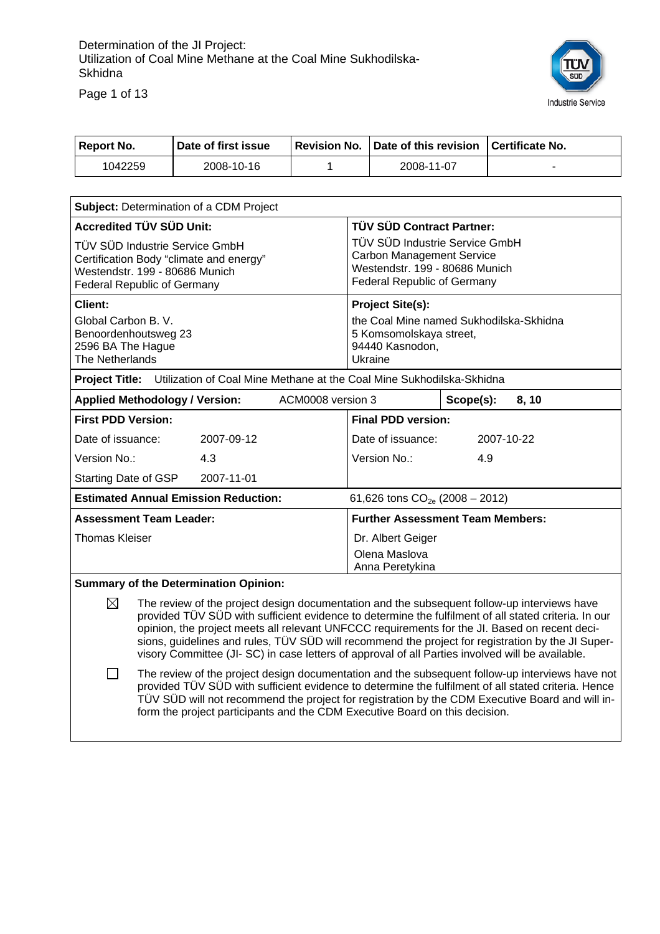

Page 1 of 13

| <b>Report No.</b>                                                                                                                                                                                                                                                                                                                                                                                                                                                                                                  | Date of first issue                                                                  | <b>Revision No.</b> |                                                                                                                                            | Date of this revision                   |           | <b>Certificate No.</b> |
|--------------------------------------------------------------------------------------------------------------------------------------------------------------------------------------------------------------------------------------------------------------------------------------------------------------------------------------------------------------------------------------------------------------------------------------------------------------------------------------------------------------------|--------------------------------------------------------------------------------------|---------------------|--------------------------------------------------------------------------------------------------------------------------------------------|-----------------------------------------|-----------|------------------------|
| 1042259                                                                                                                                                                                                                                                                                                                                                                                                                                                                                                            | 2008-10-16                                                                           | 1                   |                                                                                                                                            | 2008-11-07                              |           |                        |
|                                                                                                                                                                                                                                                                                                                                                                                                                                                                                                                    |                                                                                      |                     |                                                                                                                                            |                                         |           |                        |
|                                                                                                                                                                                                                                                                                                                                                                                                                                                                                                                    | Subject: Determination of a CDM Project                                              |                     |                                                                                                                                            |                                         |           |                        |
| <b>Accredited TÜV SÜD Unit:</b>                                                                                                                                                                                                                                                                                                                                                                                                                                                                                    |                                                                                      |                     | TÜV SÜD Contract Partner:                                                                                                                  |                                         |           |                        |
| TÜV SÜD Industrie Service GmbH<br>Certification Body "climate and energy"<br>Westendstr. 199 - 80686 Munich<br><b>Federal Republic of Germany</b>                                                                                                                                                                                                                                                                                                                                                                  |                                                                                      |                     | TÜV SÜD Industrie Service GmbH<br><b>Carbon Management Service</b><br>Westendstr. 199 - 80686 Munich<br><b>Federal Republic of Germany</b> |                                         |           |                        |
| <b>Client:</b>                                                                                                                                                                                                                                                                                                                                                                                                                                                                                                     |                                                                                      |                     |                                                                                                                                            | <b>Project Site(s):</b>                 |           |                        |
| the Coal Mine named Sukhodilska-Skhidna<br>Global Carbon B. V.<br>Benoordenhoutsweg 23<br>5 Komsomolskaya street,<br>94440 Kasnodon,<br>2596 BA The Hague<br>The Netherlands<br>Ukraine                                                                                                                                                                                                                                                                                                                            |                                                                                      |                     |                                                                                                                                            |                                         |           |                        |
|                                                                                                                                                                                                                                                                                                                                                                                                                                                                                                                    | Project Title: Utilization of Coal Mine Methane at the Coal Mine Sukhodilska-Skhidna |                     |                                                                                                                                            |                                         |           |                        |
| <b>Applied Methodology / Version:</b>                                                                                                                                                                                                                                                                                                                                                                                                                                                                              |                                                                                      | ACM0008 version 3   |                                                                                                                                            |                                         | Scope(s): | 8,10                   |
| <b>First PDD Version:</b>                                                                                                                                                                                                                                                                                                                                                                                                                                                                                          |                                                                                      |                     |                                                                                                                                            | <b>Final PDD version:</b>               |           |                        |
| Date of issuance:                                                                                                                                                                                                                                                                                                                                                                                                                                                                                                  | 2007-09-12                                                                           |                     |                                                                                                                                            | Date of issuance:                       |           | 2007-10-22             |
| Version No.:<br>4.3                                                                                                                                                                                                                                                                                                                                                                                                                                                                                                |                                                                                      | Version No.:<br>4.9 |                                                                                                                                            |                                         |           |                        |
| Starting Date of GSP                                                                                                                                                                                                                                                                                                                                                                                                                                                                                               | 2007-11-01                                                                           |                     |                                                                                                                                            |                                         |           |                        |
|                                                                                                                                                                                                                                                                                                                                                                                                                                                                                                                    | <b>Estimated Annual Emission Reduction:</b>                                          |                     |                                                                                                                                            | 61,626 tons $CO_{2e}$ (2008 – 2012)     |           |                        |
| <b>Assessment Team Leader:</b>                                                                                                                                                                                                                                                                                                                                                                                                                                                                                     |                                                                                      |                     |                                                                                                                                            | <b>Further Assessment Team Members:</b> |           |                        |
| <b>Thomas Kleiser</b>                                                                                                                                                                                                                                                                                                                                                                                                                                                                                              | Dr. Albert Geiger<br>Olena Maslova<br>Anna Peretykina                                |                     |                                                                                                                                            |                                         |           |                        |
|                                                                                                                                                                                                                                                                                                                                                                                                                                                                                                                    | <b>Summary of the Determination Opinion:</b>                                         |                     |                                                                                                                                            |                                         |           |                        |
| ⊠<br>The review of the project design documentation and the subsequent follow-up interviews have<br>provided TÜV SÜD with sufficient evidence to determine the fulfilment of all stated criteria. In our<br>opinion, the project meets all relevant UNFCCC requirements for the JI. Based on recent deci-<br>sions, guidelines and rules, TÜV SÜD will recommend the project for registration by the JI Super-<br>visory Committee (JI- SC) in case letters of approval of all Parties involved will be available. |                                                                                      |                     |                                                                                                                                            |                                         |           |                        |
| The review of the project design documentation and the subsequent follow-up interviews have not<br>provided TÜV SÜD with sufficient evidence to determine the fulfilment of all stated criteria. Hence<br>TÜV SÜD will not recommend the project for registration by the CDM Executive Board and will in-<br>form the project participants and the CDM Executive Board on this decision.                                                                                                                           |                                                                                      |                     |                                                                                                                                            |                                         |           |                        |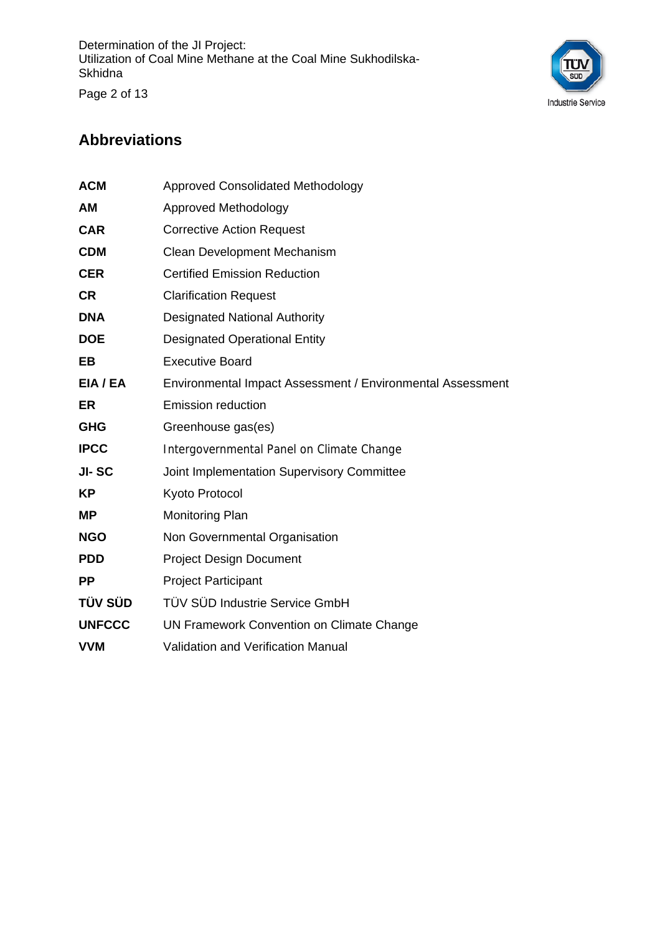

#### **Abbreviations**

| <b>ACM</b>    | <b>Approved Consolidated Methodology</b>                   |
|---------------|------------------------------------------------------------|
| AM            | Approved Methodology                                       |
| <b>CAR</b>    | <b>Corrective Action Request</b>                           |
| <b>CDM</b>    | Clean Development Mechanism                                |
| <b>CER</b>    | <b>Certified Emission Reduction</b>                        |
| <b>CR</b>     | <b>Clarification Request</b>                               |
| <b>DNA</b>    | <b>Designated National Authority</b>                       |
| <b>DOE</b>    | <b>Designated Operational Entity</b>                       |
| EВ            | <b>Executive Board</b>                                     |
| EIA / EA      | Environmental Impact Assessment / Environmental Assessment |
| <b>ER</b>     | <b>Emission reduction</b>                                  |
| <b>GHG</b>    | Greenhouse gas(es)                                         |
| <b>IPCC</b>   | Intergovernmental Panel on Climate Change                  |
| JI-SC         | Joint Implementation Supervisory Committee                 |
| <b>KP</b>     | Kyoto Protocol                                             |
| ΜP            | Monitoring Plan                                            |
| <b>NGO</b>    | Non Governmental Organisation                              |
| <b>PDD</b>    | <b>Project Design Document</b>                             |
| <b>PP</b>     | <b>Project Participant</b>                                 |
| TÜV SÜD       | TÜV SÜD Industrie Service GmbH                             |
| <b>UNFCCC</b> | UN Framework Convention on Climate Change                  |
| <b>VVM</b>    | <b>Validation and Verification Manual</b>                  |
|               |                                                            |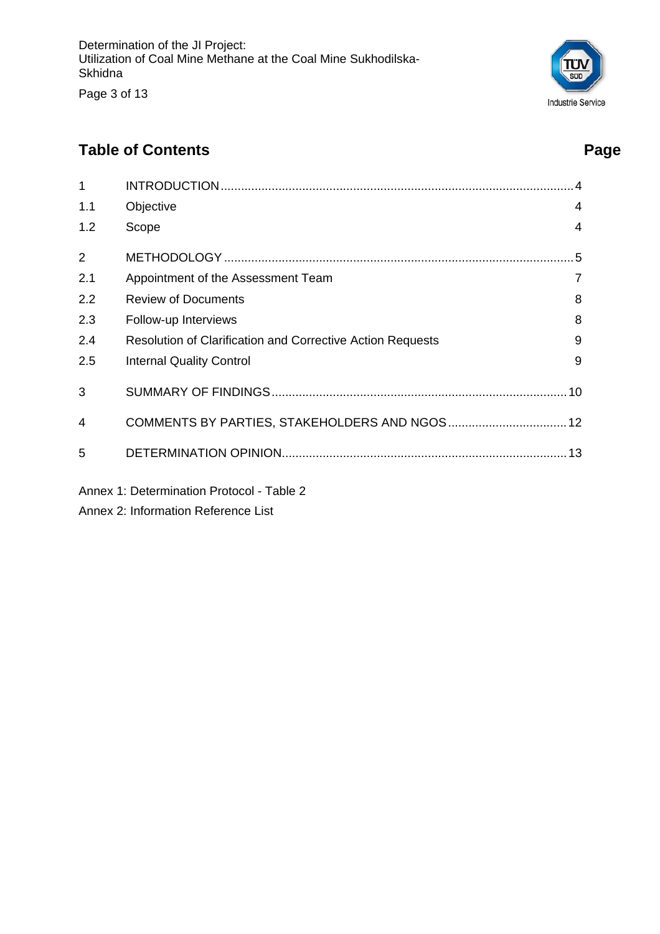Page 3 of 13

## SUI Industrie Service

### **Table of Contents** Page **Page 2014**

| $\mathbf{1}$   |                                                                   |                |
|----------------|-------------------------------------------------------------------|----------------|
| 1.1            | Objective                                                         | 4              |
| 1.2            | Scope                                                             | 4              |
| $\overline{2}$ |                                                                   | .5             |
| 2.1            | Appointment of the Assessment Team                                | $\overline{7}$ |
| 2.2            | <b>Review of Documents</b>                                        | 8              |
| 2.3            | Follow-up Interviews                                              | 8              |
| 2.4            | <b>Resolution of Clarification and Corrective Action Requests</b> | 9              |
| 2.5            | <b>Internal Quality Control</b>                                   | 9              |
| 3              |                                                                   |                |
| 4              | COMMENTS BY PARTIES, STAKEHOLDERS AND NGOS 12                     |                |
| 5              |                                                                   |                |
|                | Annex 1: Determination Protocol - Table 2                         |                |

Annex 2: Information Reference List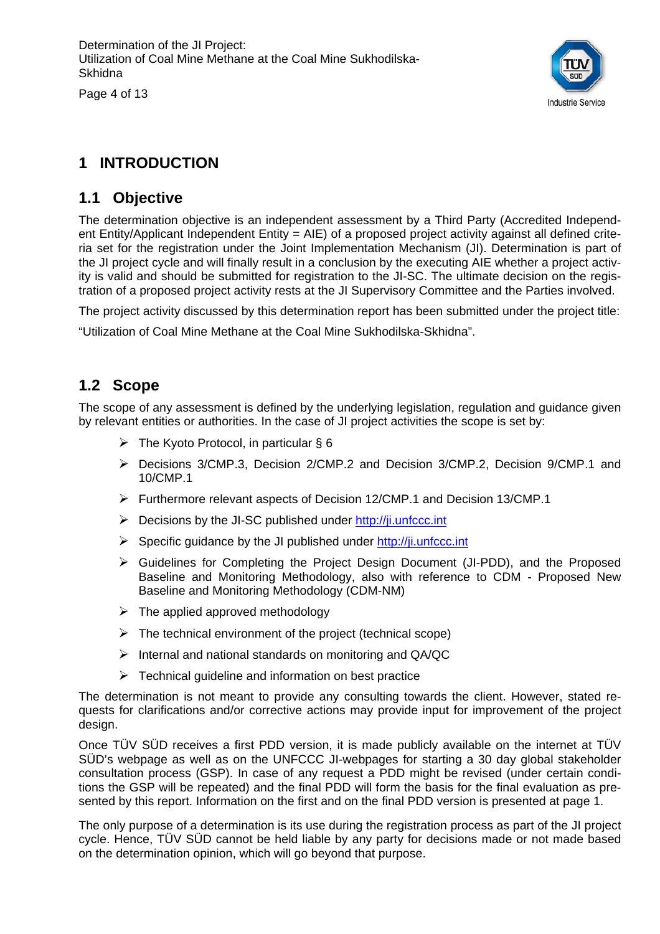Page 4 of 13



#### **1 INTRODUCTION**

#### **1.1 Objective**

The determination objective is an independent assessment by a Third Party (Accredited Independent Entity/Applicant Independent Entity = AIE) of a proposed project activity against all defined criteria set for the registration under the Joint Implementation Mechanism (JI). Determination is part of the JI project cycle and will finally result in a conclusion by the executing AIE whether a project activity is valid and should be submitted for registration to the JI-SC. The ultimate decision on the registration of a proposed project activity rests at the JI Supervisory Committee and the Parties involved.

The project activity discussed by this determination report has been submitted under the project title:

"Utilization of Coal Mine Methane at the Coal Mine Sukhodilska-Skhidna".

#### **1.2 Scope**

The scope of any assessment is defined by the underlying legislation, regulation and guidance given by relevant entities or authorities. In the case of JI project activities the scope is set by:

- $\triangleright$  The Kyoto Protocol, in particular § 6
- ¾ Decisions 3/CMP.3, Decision 2/CMP.2 and Decision 3/CMP.2, Decision 9/CMP.1 and 10/CMP.1
- ¾ Furthermore relevant aspects of Decision 12/CMP.1 and Decision 13/CMP.1
- $\triangleright$  Decisions by the JI-SC published under http://ji.unfccc.int
- $\triangleright$  Specific quidance by the JI published under http://ji.unfccc.int
- ¾ Guidelines for Completing the Project Design Document (JI-PDD), and the Proposed Baseline and Monitoring Methodology, also with reference to CDM - Proposed New Baseline and Monitoring Methodology (CDM-NM)
- $\triangleright$  The applied approved methodology
- $\triangleright$  The technical environment of the project (technical scope)
- $\triangleright$  Internal and national standards on monitoring and QA/QC
- $\triangleright$  Technical guideline and information on best practice

The determination is not meant to provide any consulting towards the client. However, stated requests for clarifications and/or corrective actions may provide input for improvement of the project design.

Once TÜV SÜD receives a first PDD version, it is made publicly available on the internet at TÜV SÜD's webpage as well as on the UNFCCC JI-webpages for starting a 30 day global stakeholder consultation process (GSP). In case of any request a PDD might be revised (under certain conditions the GSP will be repeated) and the final PDD will form the basis for the final evaluation as presented by this report. Information on the first and on the final PDD version is presented at page 1.

The only purpose of a determination is its use during the registration process as part of the JI project cycle. Hence, TÜV SÜD cannot be held liable by any party for decisions made or not made based on the determination opinion, which will go beyond that purpose.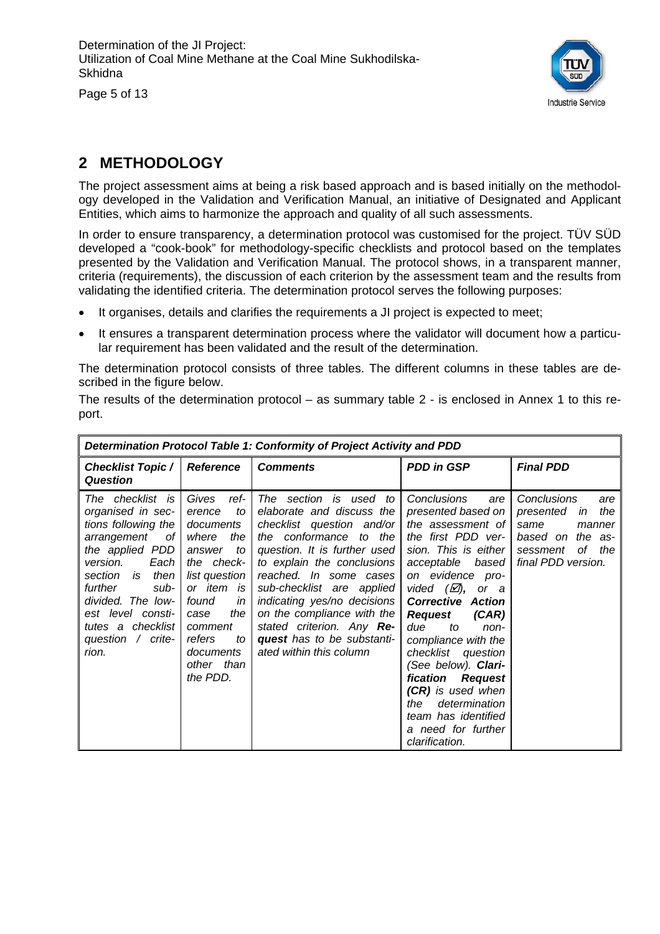Page 5 of 13

F



#### **2 METHODOLOGY**

The project assessment aims at being a risk based approach and is based initially on the methodology developed in the Validation and Verification Manual, an initiative of Designated and Applicant Entities, which aims to harmonize the approach and quality of all such assessments.

In order to ensure transparency, a determination protocol was customised for the project. TÜV SÜD developed a "cook-book" for methodology-specific checklists and protocol based on the templates presented by the Validation and Verification Manual. The protocol shows, in a transparent manner, criteria (requirements), the discussion of each criterion by the assessment team and the results from validating the identified criteria. The determination protocol serves the following purposes:

- It organises, details and clarifies the requirements a JI project is expected to meet;
- It ensures a transparent determination process where the validator will document how a particular requirement has been validated and the result of the determination.

The determination protocol consists of three tables. The different columns in these tables are described in the figure below.

The results of the determination protocol – as summary table 2 - is enclosed in Annex 1 to this report.

| Determination Protocol Table 1: Conformity of Project Activity and PDD                                                                                                                                                                                               |                                                                                                                                                                                                                         |                                                                                                                                                                                                                                                                                                                                                                                    |                                                                                                                                                                                                                                                                                                                                                                                                                                                                        |                                                                                                                                   |  |  |
|----------------------------------------------------------------------------------------------------------------------------------------------------------------------------------------------------------------------------------------------------------------------|-------------------------------------------------------------------------------------------------------------------------------------------------------------------------------------------------------------------------|------------------------------------------------------------------------------------------------------------------------------------------------------------------------------------------------------------------------------------------------------------------------------------------------------------------------------------------------------------------------------------|------------------------------------------------------------------------------------------------------------------------------------------------------------------------------------------------------------------------------------------------------------------------------------------------------------------------------------------------------------------------------------------------------------------------------------------------------------------------|-----------------------------------------------------------------------------------------------------------------------------------|--|--|
| <b>Checklist Topic /</b><br><b>Question</b>                                                                                                                                                                                                                          | <b>Reference</b>                                                                                                                                                                                                        | <b>Comments</b>                                                                                                                                                                                                                                                                                                                                                                    | <b>PDD in GSP</b>                                                                                                                                                                                                                                                                                                                                                                                                                                                      | <b>Final PDD</b>                                                                                                                  |  |  |
| The checklist is<br>organised in sec-<br>tions following the<br>arrangement<br>оf<br>the applied PDD<br>version.<br>Each<br>then<br>section<br>is<br>further<br>sub-<br>divided. The low-<br>est level consti-<br>tutes a checklist<br>question / $crite$ -<br>rion. | Gives<br>ref-<br>erence<br>to<br>documents<br>the<br>where<br>answer<br>to<br>the check-<br>list question<br>or item is<br>found<br>in<br>the<br>case<br>comment<br>refers<br>to<br>documents<br>other than<br>the PDD. | The section is used to<br>elaborate and discuss the<br>checklist question and/or<br>the conformance to the<br>question. It is further used<br>to explain the conclusions<br>reached. In some cases<br>sub-checklist are applied<br>indicating yes/no decisions<br>on the compliance with the<br>stated criterion. Any Re-<br>quest has to be substanti-<br>ated within this column | Conclusions<br>are<br>presented based on<br>the assessment of<br>the first PDD ver-<br>sion. This is either<br>acceptable<br>based<br>on evidence pro-<br>vided $(\varnothing)$ , or a<br><b>Corrective Action</b><br>(CAR)<br><b>Request</b><br>due<br>to<br>non-<br>compliance with the<br>checklist question<br>(See below). Clari-<br>fication Request<br>(CR) is used when<br>determination<br>the<br>team has identified<br>a need for further<br>clarification. | Conclusions<br>are<br>the<br>presented<br>in<br>same<br>manner<br>based on the as-<br>оf<br>the<br>sessment<br>final PDD version. |  |  |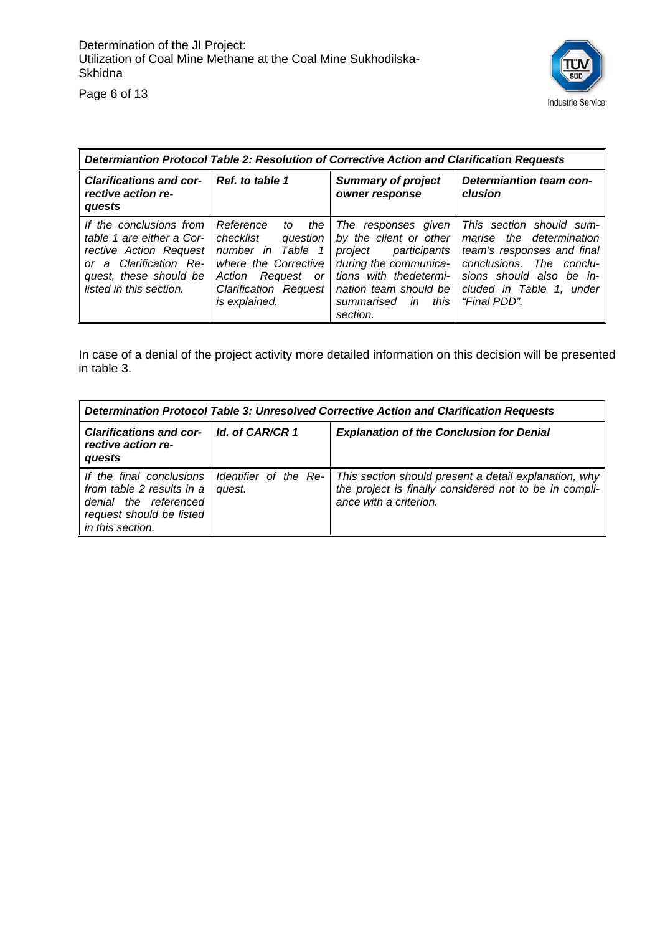

*Determiantion Protocol Table 2: Resolution of Corrective Action and Clarification Requests Clarifications and corrective action requests Ref. to table 1 Summary of project owner response Determiantion team conclusion If the conclusions from table 1 are either a Corrective Action Request or a Clarification Request, these should be listed in this section. Reference to the checklist question number in Table 1 where the Corrective Action Request or Clarification Request is explained. The responses given by the client or other project participants during the communications with thedetermination team should be summarised in this section. This section should summarise the determination team's responses and final conclusions. The conclusions should also be included in Table 1, under "Final PDD".* 

In case of a denial of the project activity more detailed information on this decision will be presented in table 3.

| Determination Protocol Table 3: Unresolved Corrective Action and Clarification Requests                                        |                                 |                                                                                                                                           |  |  |  |
|--------------------------------------------------------------------------------------------------------------------------------|---------------------------------|-------------------------------------------------------------------------------------------------------------------------------------------|--|--|--|
| <b>Clarifications and cor-</b><br>rective action re-<br>quests                                                                 | Id. of CAR/CR 1                 | <b>Explanation of the Conclusion for Denial</b>                                                                                           |  |  |  |
| If the final conclusions<br>from table 2 results in a<br>denial the referenced<br>request should be listed<br>in this section. | Identifier of the Re-<br>quest. | This section should present a detail explanation, why<br>the project is finally considered not to be in compli-<br>ance with a criterion. |  |  |  |

Page 6 of 13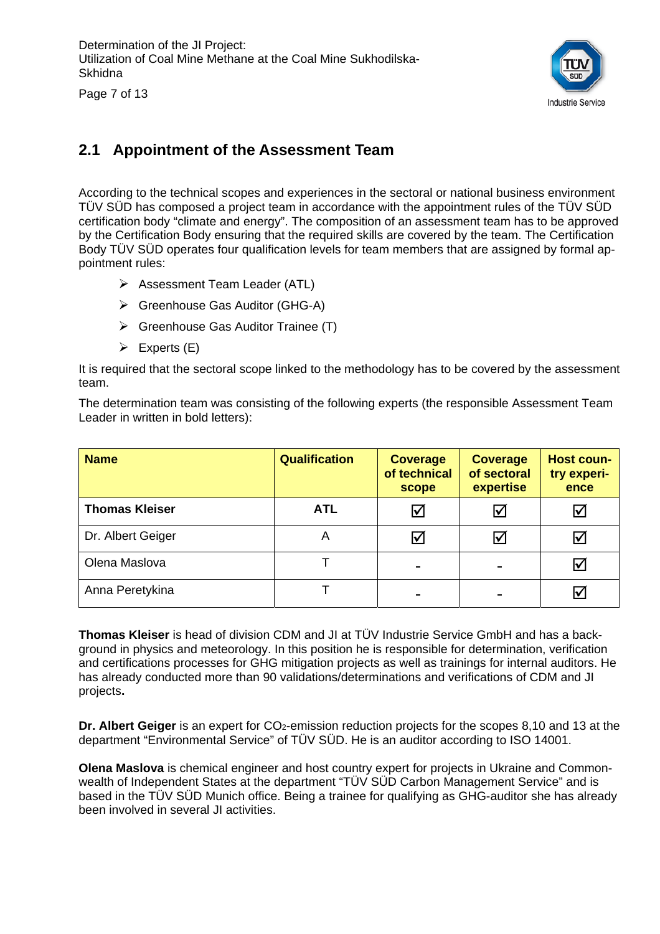

Page 7 of 13

#### **2.1 Appointment of the Assessment Team**

According to the technical scopes and experiences in the sectoral or national business environment TÜV SÜD has composed a project team in accordance with the appointment rules of the TÜV SÜD certification body "climate and energy". The composition of an assessment team has to be approved by the Certification Body ensuring that the required skills are covered by the team. The Certification Body TÜV SÜD operates four qualification levels for team members that are assigned by formal appointment rules:

- $\triangleright$  Assessment Team Leader (ATL)
- ¾ Greenhouse Gas Auditor (GHG-A)
- $\triangleright$  Greenhouse Gas Auditor Trainee (T)
- $\triangleright$  Experts (E)

It is required that the sectoral scope linked to the methodology has to be covered by the assessment team.

The determination team was consisting of the following experts (the responsible Assessment Team Leader in written in bold letters):

| <b>Name</b>           | <b>Qualification</b> | <b>Coverage</b><br>of technical<br>scope | <b>Coverage</b><br>of sectoral<br>expertise | <b>Host coun-</b><br>try experi-<br>ence |
|-----------------------|----------------------|------------------------------------------|---------------------------------------------|------------------------------------------|
| <b>Thomas Kleiser</b> | <b>ATL</b>           | M                                        | ☑                                           | IV                                       |
| Dr. Albert Geiger     | A                    | ∨                                        | ☑                                           | ∨                                        |
| Olena Maslova         |                      | -                                        |                                             | Ⅳ                                        |
| Anna Peretykina       |                      |                                          |                                             |                                          |

**Thomas Kleiser** is head of division CDM and JI at TÜV Industrie Service GmbH and has a background in physics and meteorology. In this position he is responsible for determination, verification and certifications processes for GHG mitigation projects as well as trainings for internal auditors. He has already conducted more than 90 validations/determinations and verifications of CDM and JI projects**.** 

**Dr. Albert Geiger** is an expert for CO<sub>2</sub>-emission reduction projects for the scopes 8,10 and 13 at the department "Environmental Service" of TÜV SÜD. He is an auditor according to ISO 14001.

**Olena Maslova** is chemical engineer and host country expert for projects in Ukraine and Commonwealth of Independent States at the department "TÜV SÜD Carbon Management Service" and is based in the TÜV SÜD Munich office. Being a trainee for qualifying as GHG-auditor she has already been involved in several JI activities.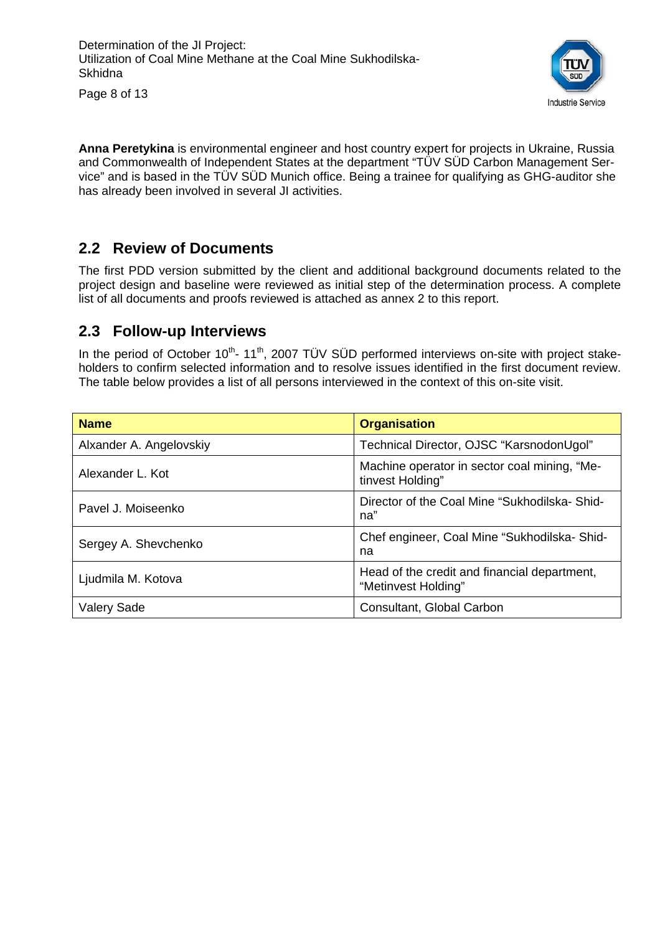

Page 8 of 13

**Anna Peretykina** is environmental engineer and host country expert for projects in Ukraine, Russia and Commonwealth of Independent States at the department "TÜV SÜD Carbon Management Service" and is based in the TÜV SÜD Munich office. Being a trainee for qualifying as GHG-auditor she has already been involved in several JI activities.

#### **2.2 Review of Documents**

The first PDD version submitted by the client and additional background documents related to the project design and baseline were reviewed as initial step of the determination process. A complete list of all documents and proofs reviewed is attached as annex 2 to this report.

#### **2.3 Follow-up Interviews**

In the period of October  $10^{th}$ -  $11^{th}$ , 2007 TÜV SÜD performed interviews on-site with project stakeholders to confirm selected information and to resolve issues identified in the first document review. The table below provides a list of all persons interviewed in the context of this on-site visit.

| <b>Name</b>             | <b>Organisation</b>                                                 |
|-------------------------|---------------------------------------------------------------------|
| Alxander A. Angelovskiy | Technical Director, OJSC "KarsnodonUgol"                            |
| Alexander L. Kot        | Machine operator in sector coal mining, "Me-<br>tinvest Holding"    |
| Pavel J. Moiseenko      | Director of the Coal Mine "Sukhodilska-Shid-<br>na"                 |
| Sergey A. Shevchenko    | Chef engineer, Coal Mine "Sukhodilska-Shid-<br>na                   |
| Ljudmila M. Kotova      | Head of the credit and financial department,<br>"Metinvest Holding" |
| <b>Valery Sade</b>      | Consultant, Global Carbon                                           |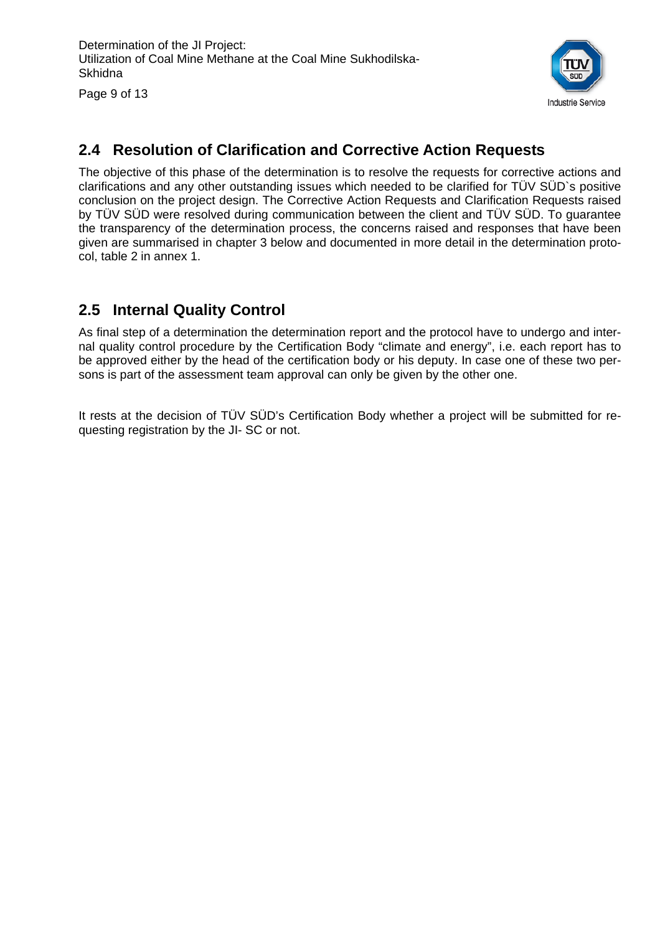

Page 9 of 13

#### **2.4 Resolution of Clarification and Corrective Action Requests**

The objective of this phase of the determination is to resolve the requests for corrective actions and clarifications and any other outstanding issues which needed to be clarified for TÜV SÜD`s positive conclusion on the project design. The Corrective Action Requests and Clarification Requests raised by TÜV SÜD were resolved during communication between the client and TÜV SÜD. To guarantee the transparency of the determination process, the concerns raised and responses that have been given are summarised in chapter 3 below and documented in more detail in the determination protocol, table 2 in annex 1.

#### **2.5 Internal Quality Control**

As final step of a determination the determination report and the protocol have to undergo and internal quality control procedure by the Certification Body "climate and energy", i.e. each report has to be approved either by the head of the certification body or his deputy. In case one of these two persons is part of the assessment team approval can only be given by the other one.

It rests at the decision of TÜV SÜD's Certification Body whether a project will be submitted for requesting registration by the JI- SC or not.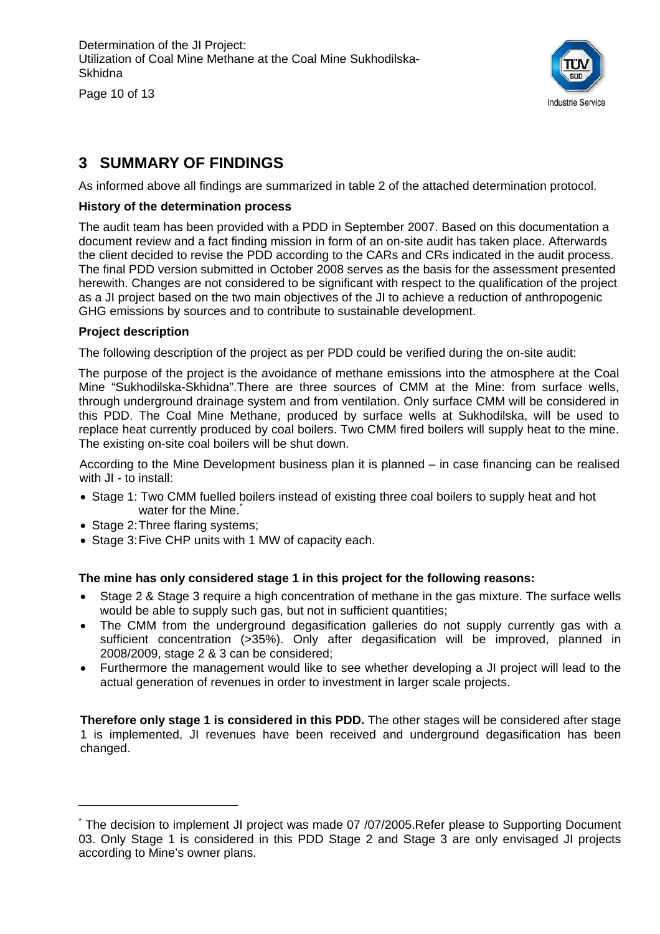Page 10 of 13



#### **3 SUMMARY OF FINDINGS**

As informed above all findings are summarized in table 2 of the attached determination protocol.

#### **History of the determination process**

The audit team has been provided with a PDD in September 2007. Based on this documentation a document review and a fact finding mission in form of an on-site audit has taken place. Afterwards the client decided to revise the PDD according to the CARs and CRs indicated in the audit process. The final PDD version submitted in October 2008 serves as the basis for the assessment presented herewith. Changes are not considered to be significant with respect to the qualification of the project as a JI project based on the two main objectives of the JI to achieve a reduction of anthropogenic GHG emissions by sources and to contribute to sustainable development.

#### **Project description**

The following description of the project as per PDD could be verified during the on-site audit:

The purpose of the project is the avoidance of methane emissions into the atmosphere at the Coal Mine "Sukhodilska-Skhidna".There are three sources of CMM at the Mine: from surface wells, through underground drainage system and from ventilation. Only surface CMM will be considered in this PDD. The Coal Mine Methane, produced by surface wells at Sukhodilska, will be used to replace heat currently produced by coal boilers. Two CMM fired boilers will supply heat to the mine. The existing on-site coal boilers will be shut down.

According to the Mine Development business plan it is planned – in case financing can be realised with JI - to install:

- Stage 1: Two CMM fuelled boilers instead of existing three coal boilers to supply heat and hot water for the Mine.
- Stage 2: Three flaring systems;

• Stage 3: Five CHP units with 1 MW of capacity each.

#### **The mine has only considered stage 1 in this project for the following reasons:**

- Stage 2 & Stage 3 require a high concentration of methane in the gas mixture. The surface wells would be able to supply such gas, but not in sufficient quantities;
- The CMM from the underground degasification galleries do not supply currently gas with a sufficient concentration (>35%). Only after degasification will be improved, planned in 2008/2009, stage 2 & 3 can be considered;
- Furthermore the management would like to see whether developing a JI project will lead to the actual generation of revenues in order to investment in larger scale projects.

**Therefore only stage 1 is considered in this PDD.** The other stages will be considered after stage 1 is implemented, JI revenues have been received and underground degasification has been changed.

<sup>\*</sup> The decision to implement JI project was made 07 /07/2005.Refer please to Supporting Document 03. Only Stage 1 is considered in this PDD Stage 2 and Stage 3 are only envisaged JI projects according to Mine's owner plans.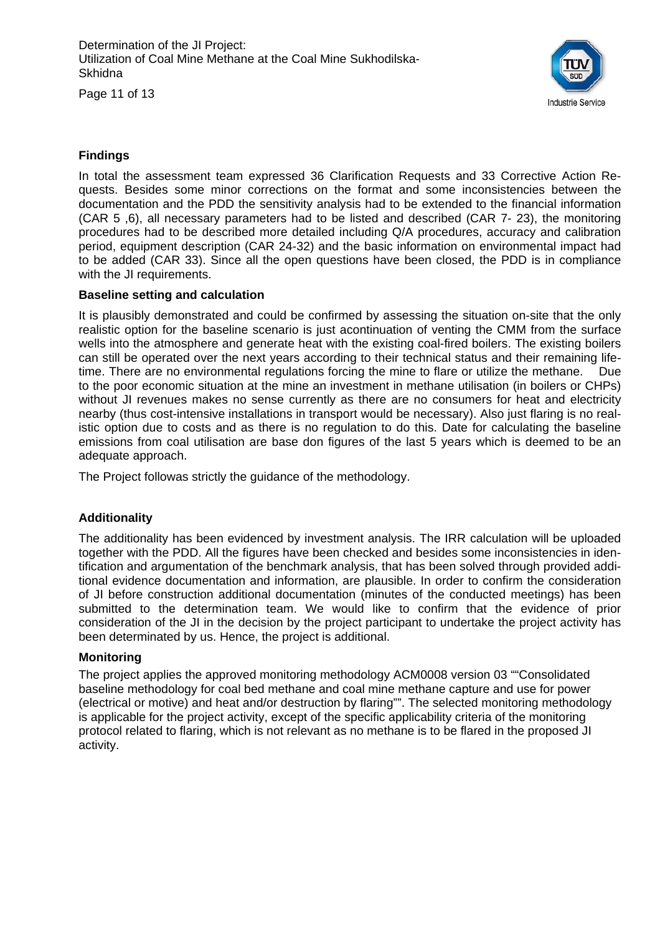Determination of the JI Project: Utilization of Coal Mine Methane at the Coal Mine Sukhodilska-**Skhidna** 

Page 11 of 13



#### **Findings**

In total the assessment team expressed 36 Clarification Requests and 33 Corrective Action Requests. Besides some minor corrections on the format and some inconsistencies between the documentation and the PDD the sensitivity analysis had to be extended to the financial information (CAR 5 ,6), all necessary parameters had to be listed and described (CAR 7- 23), the monitoring procedures had to be described more detailed including Q/A procedures, accuracy and calibration period, equipment description (CAR 24-32) and the basic information on environmental impact had to be added (CAR 33). Since all the open questions have been closed, the PDD is in compliance with the JI requirements.

#### **Baseline setting and calculation**

It is plausibly demonstrated and could be confirmed by assessing the situation on-site that the only realistic option for the baseline scenario is just acontinuation of venting the CMM from the surface wells into the atmosphere and generate heat with the existing coal-fired boilers. The existing boilers can still be operated over the next years according to their technical status and their remaining lifetime. There are no environmental regulations forcing the mine to flare or utilize the methane. Due to the poor economic situation at the mine an investment in methane utilisation (in boilers or CHPs) without JI revenues makes no sense currently as there are no consumers for heat and electricity nearby (thus cost-intensive installations in transport would be necessary). Also just flaring is no realistic option due to costs and as there is no regulation to do this. Date for calculating the baseline emissions from coal utilisation are base don figures of the last 5 years which is deemed to be an adequate approach.

The Project followas strictly the guidance of the methodology.

#### **Additionality**

The additionality has been evidenced by investment analysis. The IRR calculation will be uploaded together with the PDD. All the figures have been checked and besides some inconsistencies in identification and argumentation of the benchmark analysis, that has been solved through provided additional evidence documentation and information, are plausible. In order to confirm the consideration of JI before construction additional documentation (minutes of the conducted meetings) has been submitted to the determination team. We would like to confirm that the evidence of prior consideration of the JI in the decision by the project participant to undertake the project activity has been determinated by us. Hence, the project is additional.

#### **Monitoring**

The project applies the approved monitoring methodology ACM0008 version 03 ""Consolidated baseline methodology for coal bed methane and coal mine methane capture and use for power (electrical or motive) and heat and/or destruction by flaring"". The selected monitoring methodology is applicable for the project activity, except of the specific applicability criteria of the monitoring protocol related to flaring, which is not relevant as no methane is to be flared in the proposed JI activity.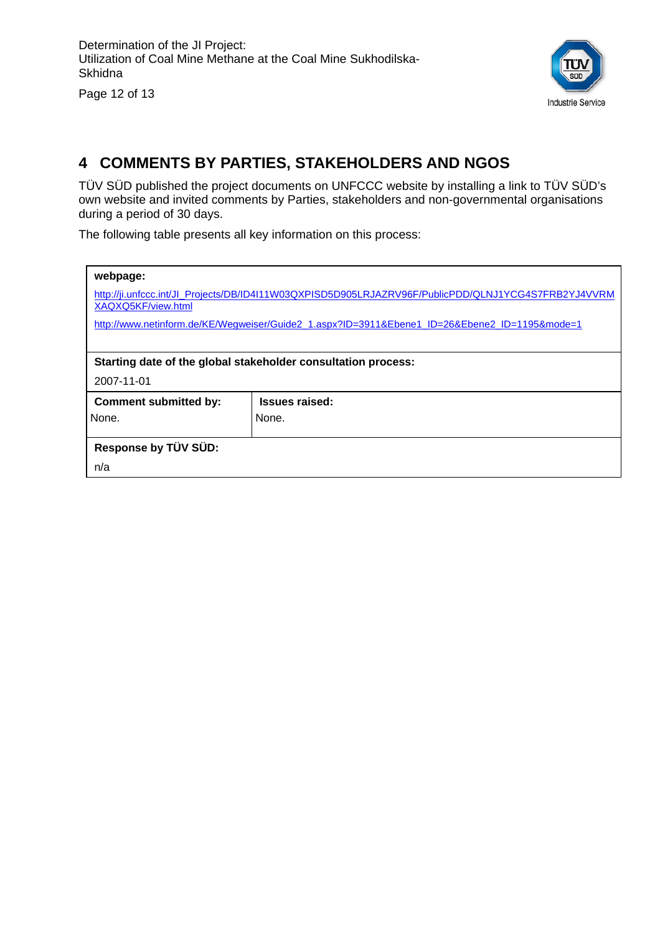Page 12 of 13



#### **4 COMMENTS BY PARTIES, STAKEHOLDERS AND NGOS**

TÜV SÜD published the project documents on UNFCCC website by installing a link to TÜV SÜD's own website and invited comments by Parties, stakeholders and non-governmental organisations during a period of 30 days.

The following table presents all key information on this process:

| webpage:<br>XAQXQ5KF/view.html | http://ji.unfccc.int/Jl_Projects/DB/ID4I11W03QXPISD5D905LRJAZRV96F/PublicPDD/QLNJ1YCG4S7FRB2YJ4VVRM<br>http://www.netinform.de/KE/Wegweiser/Guide2_1.aspx?ID=3911&Ebene1_ID=26&Ebene2_ID=1195&mode=1 |  |  |  |  |  |
|--------------------------------|------------------------------------------------------------------------------------------------------------------------------------------------------------------------------------------------------|--|--|--|--|--|
|                                | Starting date of the global stakeholder consultation process:                                                                                                                                        |  |  |  |  |  |
| 2007-11-01                     |                                                                                                                                                                                                      |  |  |  |  |  |
| <b>Comment submitted by:</b>   | Issues raised:                                                                                                                                                                                       |  |  |  |  |  |
| None.                          | None.                                                                                                                                                                                                |  |  |  |  |  |
| Response by TÜV SÜD:           |                                                                                                                                                                                                      |  |  |  |  |  |
| n/a                            |                                                                                                                                                                                                      |  |  |  |  |  |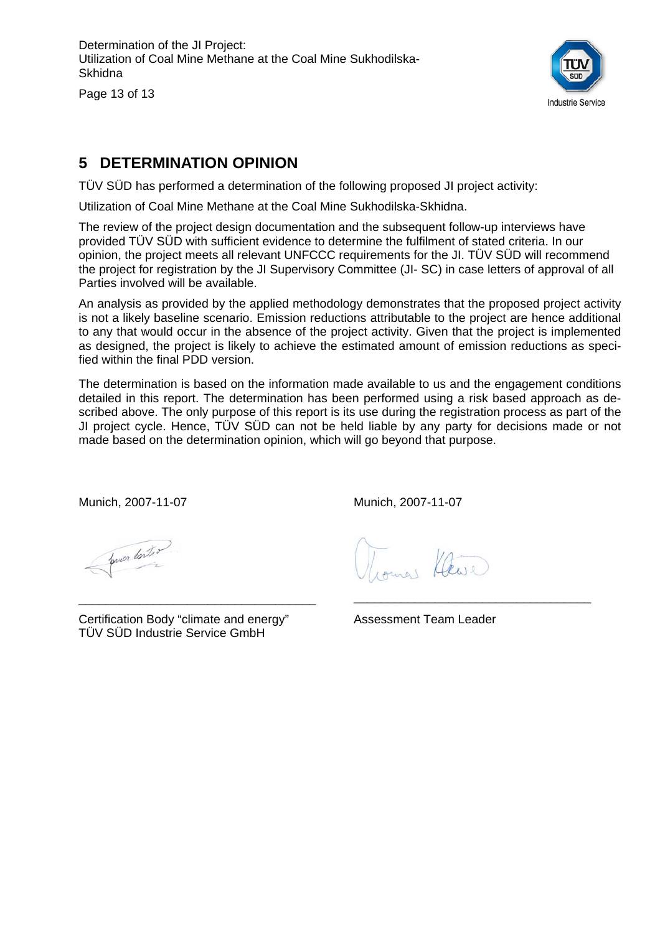Determination of the JI Project: Utilization of Coal Mine Methane at the Coal Mine Sukhodilska-Skhidna

Page 13 of 13



#### **5 DETERMINATION OPINION**

TÜV SÜD has performed a determination of the following proposed JI project activity:

Utilization of Coal Mine Methane at the Coal Mine Sukhodilska-Skhidna.

The review of the project design documentation and the subsequent follow-up interviews have provided TÜV SÜD with sufficient evidence to determine the fulfilment of stated criteria. In our opinion, the project meets all relevant UNFCCC requirements for the JI. TÜV SÜD will recommend the project for registration by the JI Supervisory Committee (JI- SC) in case letters of approval of all Parties involved will be available.

An analysis as provided by the applied methodology demonstrates that the proposed project activity is not a likely baseline scenario. Emission reductions attributable to the project are hence additional to any that would occur in the absence of the project activity. Given that the project is implemented as designed, the project is likely to achieve the estimated amount of emission reductions as specified within the final PDD version.

The determination is based on the information made available to us and the engagement conditions detailed in this report. The determination has been performed using a risk based approach as described above. The only purpose of this report is its use during the registration process as part of the JI project cycle. Hence, TÜV SÜD can not be held liable by any party for decisions made or not made based on the determination opinion, which will go beyond that purpose.

Munich, 2007-11-07

Munich, 2007-11-07

prier tonto

Certification Body "climate and energy" TÜV SÜD Industrie Service GmbH

\_\_\_\_\_\_\_\_\_\_\_\_\_\_\_\_\_\_\_\_\_\_\_\_\_\_\_\_\_\_\_\_\_\_\_

Assessment Team Leader

\_\_\_\_\_\_\_\_\_\_\_\_\_\_\_\_\_\_\_\_\_\_\_\_\_\_\_\_\_\_\_\_\_\_\_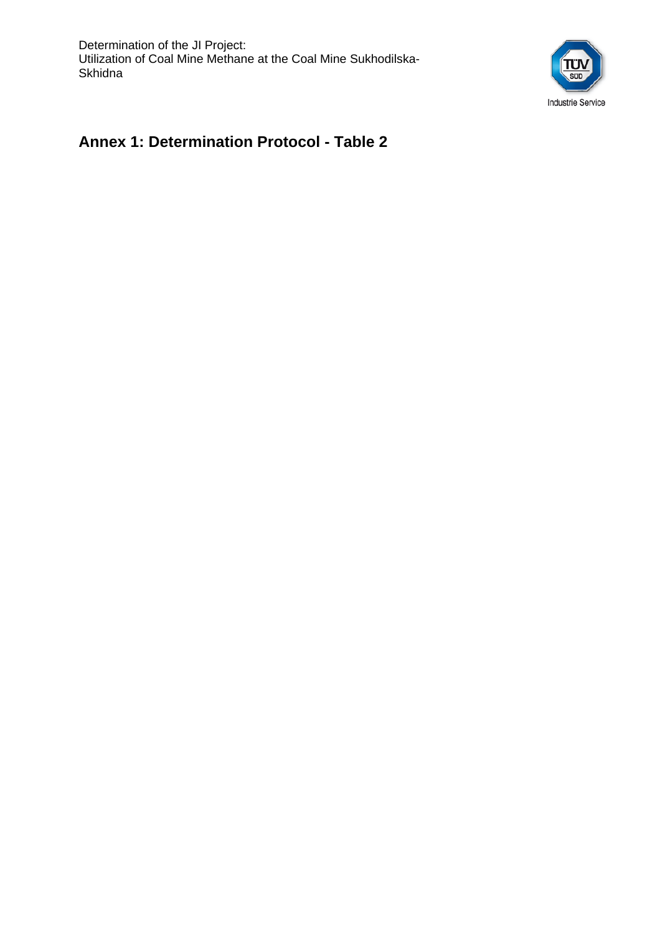Determination of the JI Project: Utilization of Coal Mine Methane at the Coal Mine Sukhodilska-**Skhidna** 



#### **Annex 1: Determination Protocol - Table 2**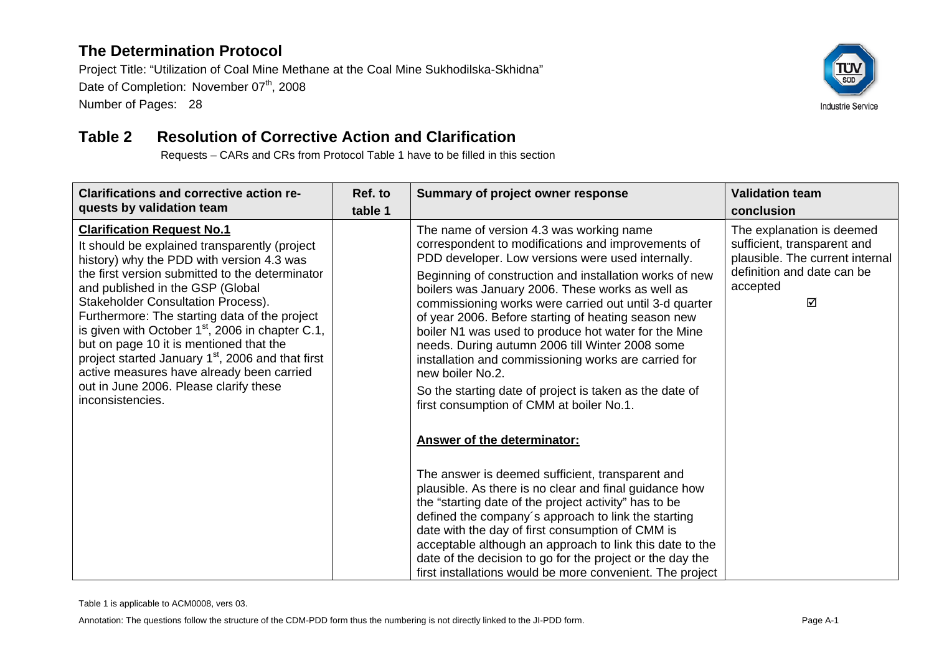Project Title: "Utilization of Coal Mine Methane at the Coal Mine Sukhodilska-Skhidna" Date of Completion: November 07<sup>th</sup>, 2008 Number of Pages: 28



#### **Table 2 Resolution of Corrective Action and Clarification**

Requests – CARs and CRs from Protocol Table 1 have to be filled in this section

| <b>Clarifications and corrective action re-</b><br>quests by validation team                                                                                                                                                                                                                                                                                                                                                                                                                                                                                                                      | Ref. to<br>table 1 | Summary of project owner response                                                                                                                                                                                                                                                                                                                                                                                                                                                                                                                                                                                                                                                 | <b>Validation team</b><br>conclusion                                                                                                       |
|---------------------------------------------------------------------------------------------------------------------------------------------------------------------------------------------------------------------------------------------------------------------------------------------------------------------------------------------------------------------------------------------------------------------------------------------------------------------------------------------------------------------------------------------------------------------------------------------------|--------------------|-----------------------------------------------------------------------------------------------------------------------------------------------------------------------------------------------------------------------------------------------------------------------------------------------------------------------------------------------------------------------------------------------------------------------------------------------------------------------------------------------------------------------------------------------------------------------------------------------------------------------------------------------------------------------------------|--------------------------------------------------------------------------------------------------------------------------------------------|
| <b>Clarification Request No.1</b><br>It should be explained transparently (project<br>history) why the PDD with version 4.3 was<br>the first version submitted to the determinator<br>and published in the GSP (Global<br><b>Stakeholder Consultation Process).</b><br>Furthermore: The starting data of the project<br>is given with October $1st$ , 2006 in chapter C.1,<br>but on page 10 it is mentioned that the<br>project started January 1 <sup>st</sup> , 2006 and that first<br>active measures have already been carried<br>out in June 2006. Please clarify these<br>inconsistencies. |                    | The name of version 4.3 was working name<br>correspondent to modifications and improvements of<br>PDD developer. Low versions were used internally.<br>Beginning of construction and installation works of new<br>boilers was January 2006. These works as well as<br>commissioning works were carried out until 3-d quarter<br>of year 2006. Before starting of heating season new<br>boiler N1 was used to produce hot water for the Mine<br>needs. During autumn 2006 till Winter 2008 some<br>installation and commissioning works are carried for<br>new boiler No.2.<br>So the starting date of project is taken as the date of<br>first consumption of CMM at boiler No.1. | The explanation is deemed<br>sufficient, transparent and<br>plausible. The current internal<br>definition and date can be<br>accepted<br>⊠ |
|                                                                                                                                                                                                                                                                                                                                                                                                                                                                                                                                                                                                   |                    | <b>Answer of the determinator:</b>                                                                                                                                                                                                                                                                                                                                                                                                                                                                                                                                                                                                                                                |                                                                                                                                            |
|                                                                                                                                                                                                                                                                                                                                                                                                                                                                                                                                                                                                   |                    | The answer is deemed sufficient, transparent and<br>plausible. As there is no clear and final guidance how<br>the "starting date of the project activity" has to be<br>defined the company's approach to link the starting<br>date with the day of first consumption of CMM is<br>acceptable although an approach to link this date to the<br>date of the decision to go for the project or the day the<br>first installations would be more convenient. The project                                                                                                                                                                                                              |                                                                                                                                            |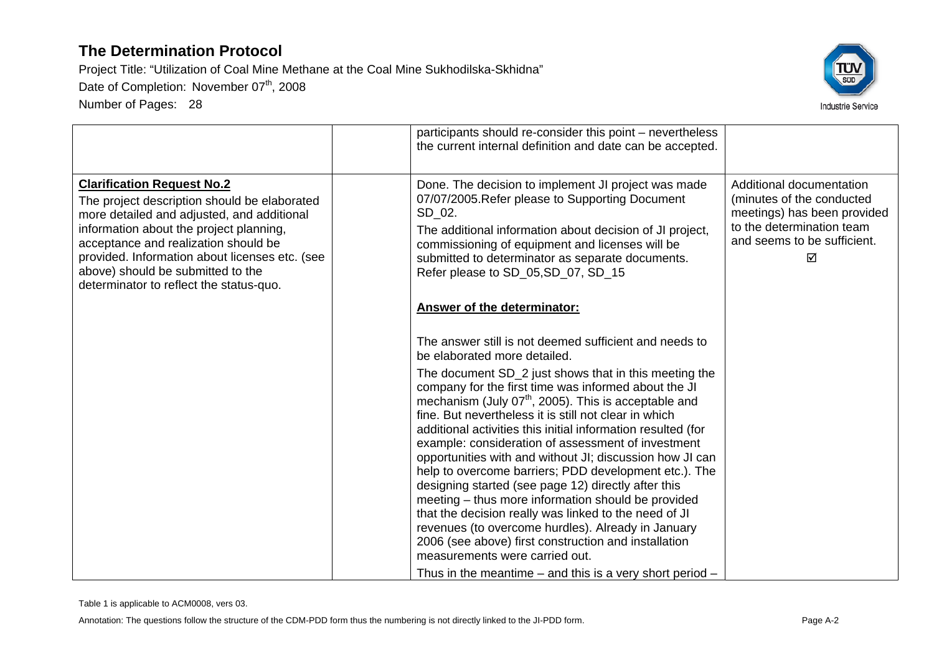

|                                                                                                                                                                                                                                                                                                                                                      | participants should re-consider this point – nevertheless<br>the current internal definition and date can be accepted.                                                                                                                                                                                                                                                                                                                                                                                                                                                                                                                                                                                                                                                                            |                                                                                                                                                       |
|------------------------------------------------------------------------------------------------------------------------------------------------------------------------------------------------------------------------------------------------------------------------------------------------------------------------------------------------------|---------------------------------------------------------------------------------------------------------------------------------------------------------------------------------------------------------------------------------------------------------------------------------------------------------------------------------------------------------------------------------------------------------------------------------------------------------------------------------------------------------------------------------------------------------------------------------------------------------------------------------------------------------------------------------------------------------------------------------------------------------------------------------------------------|-------------------------------------------------------------------------------------------------------------------------------------------------------|
| <b>Clarification Request No.2</b><br>The project description should be elaborated<br>more detailed and adjusted, and additional<br>information about the project planning,<br>acceptance and realization should be<br>provided. Information about licenses etc. (see<br>above) should be submitted to the<br>determinator to reflect the status-quo. | Done. The decision to implement JI project was made<br>07/07/2005. Refer please to Supporting Document<br>SD_02.<br>The additional information about decision of JI project,<br>commissioning of equipment and licenses will be<br>submitted to determinator as separate documents.<br>Refer please to SD_05, SD_07, SD_15                                                                                                                                                                                                                                                                                                                                                                                                                                                                        | Additional documentation<br>(minutes of the conducted<br>meetings) has been provided<br>to the determination team<br>and seems to be sufficient.<br>☑ |
|                                                                                                                                                                                                                                                                                                                                                      | <b>Answer of the determinator:</b>                                                                                                                                                                                                                                                                                                                                                                                                                                                                                                                                                                                                                                                                                                                                                                |                                                                                                                                                       |
|                                                                                                                                                                                                                                                                                                                                                      | The answer still is not deemed sufficient and needs to<br>be elaborated more detailed.                                                                                                                                                                                                                                                                                                                                                                                                                                                                                                                                                                                                                                                                                                            |                                                                                                                                                       |
|                                                                                                                                                                                                                                                                                                                                                      | The document SD_2 just shows that in this meeting the<br>company for the first time was informed about the JI<br>mechanism (July $07th$ , 2005). This is acceptable and<br>fine. But nevertheless it is still not clear in which<br>additional activities this initial information resulted (for<br>example: consideration of assessment of investment<br>opportunities with and without JI; discussion how JI can<br>help to overcome barriers; PDD development etc.). The<br>designing started (see page 12) directly after this<br>meeting - thus more information should be provided<br>that the decision really was linked to the need of JI<br>revenues (to overcome hurdles). Already in January<br>2006 (see above) first construction and installation<br>measurements were carried out. |                                                                                                                                                       |
|                                                                                                                                                                                                                                                                                                                                                      | Thus in the meantime $-$ and this is a very short period $-$                                                                                                                                                                                                                                                                                                                                                                                                                                                                                                                                                                                                                                                                                                                                      |                                                                                                                                                       |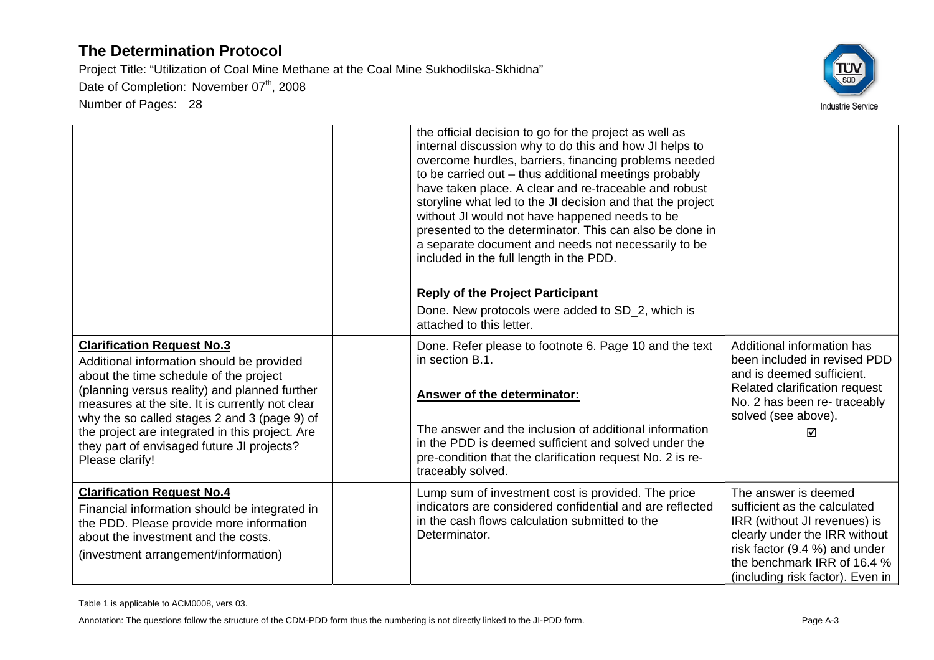

|                                                                                                                                                                                                                                                                                                                                                                                                  | the official decision to go for the project as well as<br>internal discussion why to do this and how JI helps to<br>overcome hurdles, barriers, financing problems needed<br>to be carried out - thus additional meetings probably<br>have taken place. A clear and re-traceable and robust<br>storyline what led to the JI decision and that the project<br>without JI would not have happened needs to be<br>presented to the determinator. This can also be done in<br>a separate document and needs not necessarily to be<br>included in the full length in the PDD.<br><b>Reply of the Project Participant</b><br>Done. New protocols were added to SD_2, which is<br>attached to this letter. |                                                                                                                                                                                                                           |
|--------------------------------------------------------------------------------------------------------------------------------------------------------------------------------------------------------------------------------------------------------------------------------------------------------------------------------------------------------------------------------------------------|-----------------------------------------------------------------------------------------------------------------------------------------------------------------------------------------------------------------------------------------------------------------------------------------------------------------------------------------------------------------------------------------------------------------------------------------------------------------------------------------------------------------------------------------------------------------------------------------------------------------------------------------------------------------------------------------------------|---------------------------------------------------------------------------------------------------------------------------------------------------------------------------------------------------------------------------|
| <b>Clarification Request No.3</b><br>Additional information should be provided<br>about the time schedule of the project<br>(planning versus reality) and planned further<br>measures at the site. It is currently not clear<br>why the so called stages 2 and 3 (page 9) of<br>the project are integrated in this project. Are<br>they part of envisaged future JI projects?<br>Please clarify! | Done. Refer please to footnote 6. Page 10 and the text<br>in section B.1.<br>Answer of the determinator:<br>The answer and the inclusion of additional information<br>in the PDD is deemed sufficient and solved under the<br>pre-condition that the clarification request No. 2 is re-<br>traceably solved.                                                                                                                                                                                                                                                                                                                                                                                        | Additional information has<br>been included in revised PDD<br>and is deemed sufficient.<br>Related clarification request<br>No. 2 has been re-traceably<br>solved (see above).<br>⊠                                       |
| <b>Clarification Request No.4</b><br>Financial information should be integrated in<br>the PDD. Please provide more information<br>about the investment and the costs.<br>(investment arrangement/information)                                                                                                                                                                                    | Lump sum of investment cost is provided. The price<br>indicators are considered confidential and are reflected<br>in the cash flows calculation submitted to the<br>Determinator.                                                                                                                                                                                                                                                                                                                                                                                                                                                                                                                   | The answer is deemed<br>sufficient as the calculated<br>IRR (without JI revenues) is<br>clearly under the IRR without<br>risk factor (9.4 %) and under<br>the benchmark IRR of 16.4 %<br>(including risk factor). Even in |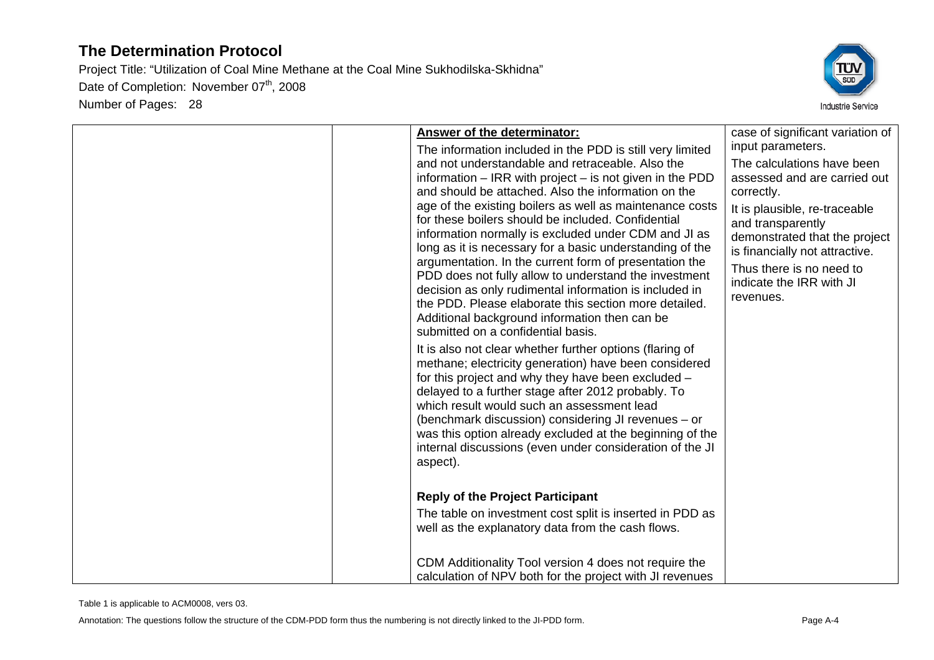

| Answer of the determinator:                                                                                                                                                                                                                                                                                                                                                                                                                                                                                                                                                                                                                                                                                                                                       | case of significant variation of                                                                                                                                                                                                                                                            |
|-------------------------------------------------------------------------------------------------------------------------------------------------------------------------------------------------------------------------------------------------------------------------------------------------------------------------------------------------------------------------------------------------------------------------------------------------------------------------------------------------------------------------------------------------------------------------------------------------------------------------------------------------------------------------------------------------------------------------------------------------------------------|---------------------------------------------------------------------------------------------------------------------------------------------------------------------------------------------------------------------------------------------------------------------------------------------|
| The information included in the PDD is still very limited<br>and not understandable and retraceable. Also the<br>information $-$ IRR with project $-$ is not given in the PDD<br>and should be attached. Also the information on the<br>age of the existing boilers as well as maintenance costs<br>for these boilers should be included. Confidential<br>information normally is excluded under CDM and JI as<br>long as it is necessary for a basic understanding of the<br>argumentation. In the current form of presentation the<br>PDD does not fully allow to understand the investment<br>decision as only rudimental information is included in<br>the PDD. Please elaborate this section more detailed.<br>Additional background information then can be | input parameters.<br>The calculations have been<br>assessed and are carried out<br>correctly.<br>It is plausible, re-traceable<br>and transparently<br>demonstrated that the project<br>is financially not attractive.<br>Thus there is no need to<br>indicate the IRR with JI<br>revenues. |
| submitted on a confidential basis.                                                                                                                                                                                                                                                                                                                                                                                                                                                                                                                                                                                                                                                                                                                                |                                                                                                                                                                                                                                                                                             |
| It is also not clear whether further options (flaring of<br>methane; electricity generation) have been considered<br>for this project and why they have been excluded -<br>delayed to a further stage after 2012 probably. To<br>which result would such an assessment lead<br>(benchmark discussion) considering JI revenues - or<br>was this option already excluded at the beginning of the<br>internal discussions (even under consideration of the JI<br>aspect).                                                                                                                                                                                                                                                                                            |                                                                                                                                                                                                                                                                                             |
| <b>Reply of the Project Participant</b>                                                                                                                                                                                                                                                                                                                                                                                                                                                                                                                                                                                                                                                                                                                           |                                                                                                                                                                                                                                                                                             |
| The table on investment cost split is inserted in PDD as<br>well as the explanatory data from the cash flows.                                                                                                                                                                                                                                                                                                                                                                                                                                                                                                                                                                                                                                                     |                                                                                                                                                                                                                                                                                             |
| CDM Additionality Tool version 4 does not require the<br>calculation of NPV both for the project with JI revenues                                                                                                                                                                                                                                                                                                                                                                                                                                                                                                                                                                                                                                                 |                                                                                                                                                                                                                                                                                             |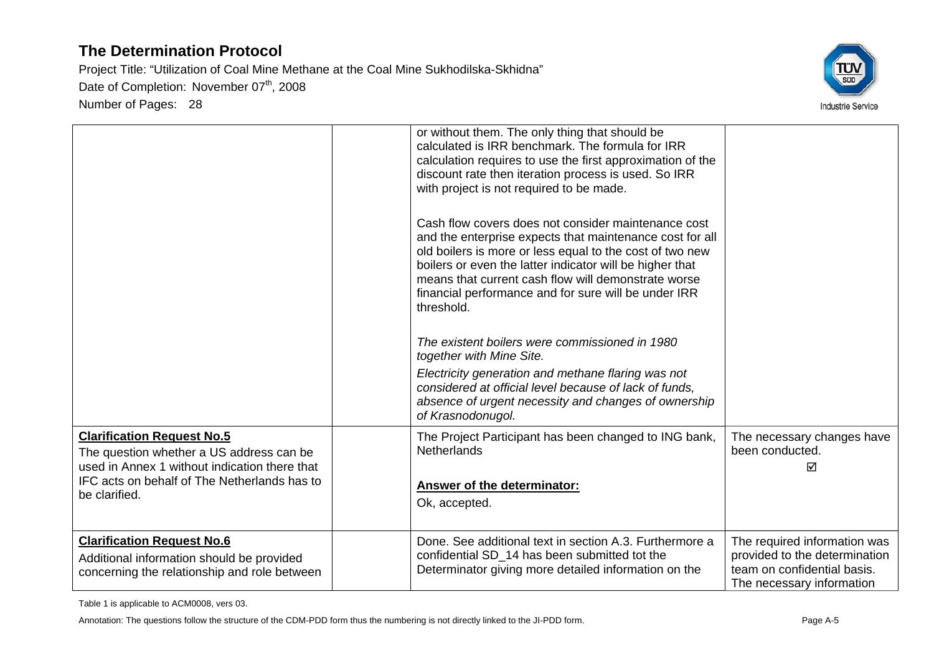Project Title: "Utilization of Coal Mine Methane at the Coal Mine Sukhodilska-Skhidna" Date of Completion: November 07<sup>th</sup>, 2008 Number of Pages: 28



|                                                                                                                                | or without them. The only thing that should be<br>calculated is IRR benchmark. The formula for IRR<br>calculation requires to use the first approximation of the<br>discount rate then iteration process is used. So IRR<br>with project is not required to be made.                                                                                                 |                                                                                                                           |
|--------------------------------------------------------------------------------------------------------------------------------|----------------------------------------------------------------------------------------------------------------------------------------------------------------------------------------------------------------------------------------------------------------------------------------------------------------------------------------------------------------------|---------------------------------------------------------------------------------------------------------------------------|
|                                                                                                                                | Cash flow covers does not consider maintenance cost<br>and the enterprise expects that maintenance cost for all<br>old boilers is more or less equal to the cost of two new<br>boilers or even the latter indicator will be higher that<br>means that current cash flow will demonstrate worse<br>financial performance and for sure will be under IRR<br>threshold. |                                                                                                                           |
|                                                                                                                                | The existent boilers were commissioned in 1980<br>together with Mine Site.                                                                                                                                                                                                                                                                                           |                                                                                                                           |
|                                                                                                                                | Electricity generation and methane flaring was not<br>considered at official level because of lack of funds,<br>absence of urgent necessity and changes of ownership<br>of Krasnodonugol.                                                                                                                                                                            |                                                                                                                           |
| <b>Clarification Request No.5</b><br>The question whether a US address can be                                                  | The Project Participant has been changed to ING bank,<br><b>Netherlands</b>                                                                                                                                                                                                                                                                                          | The necessary changes have<br>been conducted.                                                                             |
| used in Annex 1 without indication there that<br>IFC acts on behalf of The Netherlands has to<br>be clarified.                 | <b>Answer of the determinator:</b><br>Ok, accepted.                                                                                                                                                                                                                                                                                                                  | ☑                                                                                                                         |
| <b>Clarification Request No.6</b><br>Additional information should be provided<br>concerning the relationship and role between | Done. See additional text in section A.3. Furthermore a<br>confidential SD_14 has been submitted tot the<br>Determinator giving more detailed information on the                                                                                                                                                                                                     | The required information was<br>provided to the determination<br>team on confidential basis.<br>The necessary information |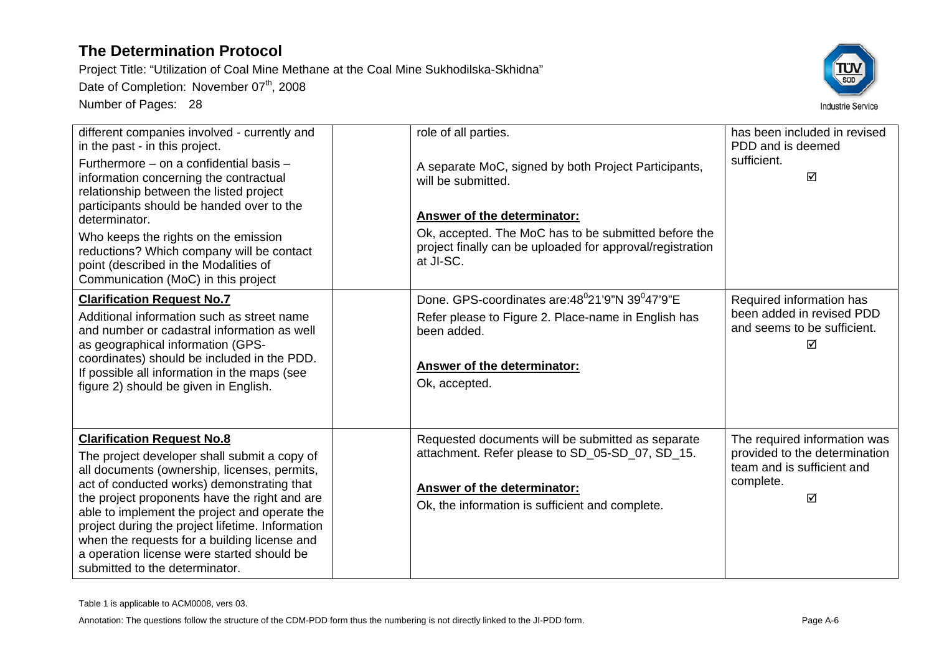Project Title: "Utilization of Coal Mine Methane at the Coal Mine Sukhodilska-Skhidna"

Date of Completion: November 07<sup>th</sup>, 2008

Number of Pages: 28



| different companies involved - currently and<br>in the past - in this project.<br>Furthermore - on a confidential basis -<br>information concerning the contractual<br>relationship between the listed project<br>participants should be handed over to the<br>determinator.<br>Who keeps the rights on the emission<br>reductions? Which company will be contact<br>point (described in the Modalities of<br>Communication (MoC) in this project                     | role of all parties.<br>A separate MoC, signed by both Project Participants,<br>will be submitted.<br>Answer of the determinator:<br>Ok, accepted. The MoC has to be submitted before the<br>project finally can be uploaded for approval/registration<br>at JI-SC. | has been included in revised<br>PDD and is deemed<br>sufficient.<br>⊠                                         |
|-----------------------------------------------------------------------------------------------------------------------------------------------------------------------------------------------------------------------------------------------------------------------------------------------------------------------------------------------------------------------------------------------------------------------------------------------------------------------|---------------------------------------------------------------------------------------------------------------------------------------------------------------------------------------------------------------------------------------------------------------------|---------------------------------------------------------------------------------------------------------------|
| <b>Clarification Request No.7</b><br>Additional information such as street name<br>and number or cadastral information as well<br>as geographical information (GPS-<br>coordinates) should be included in the PDD.<br>If possible all information in the maps (see<br>figure 2) should be given in English.                                                                                                                                                           | Done, GPS-coordinates are: 48 <sup>0</sup> 21'9"N 39 <sup>0</sup> 47'9"E<br>Refer please to Figure 2. Place-name in English has<br>been added.<br>Answer of the determinator:<br>Ok, accepted.                                                                      | Required information has<br>been added in revised PDD<br>and seems to be sufficient.<br>⊠                     |
| <b>Clarification Request No.8</b><br>The project developer shall submit a copy of<br>all documents (ownership, licenses, permits,<br>act of conducted works) demonstrating that<br>the project proponents have the right and are<br>able to implement the project and operate the<br>project during the project lifetime. Information<br>when the requests for a building license and<br>a operation license were started should be<br>submitted to the determinator. | Requested documents will be submitted as separate<br>attachment. Refer please to SD_05-SD_07, SD_15.<br>Answer of the determinator:<br>Ok, the information is sufficient and complete.                                                                              | The required information was<br>provided to the determination<br>team and is sufficient and<br>complete.<br>☑ |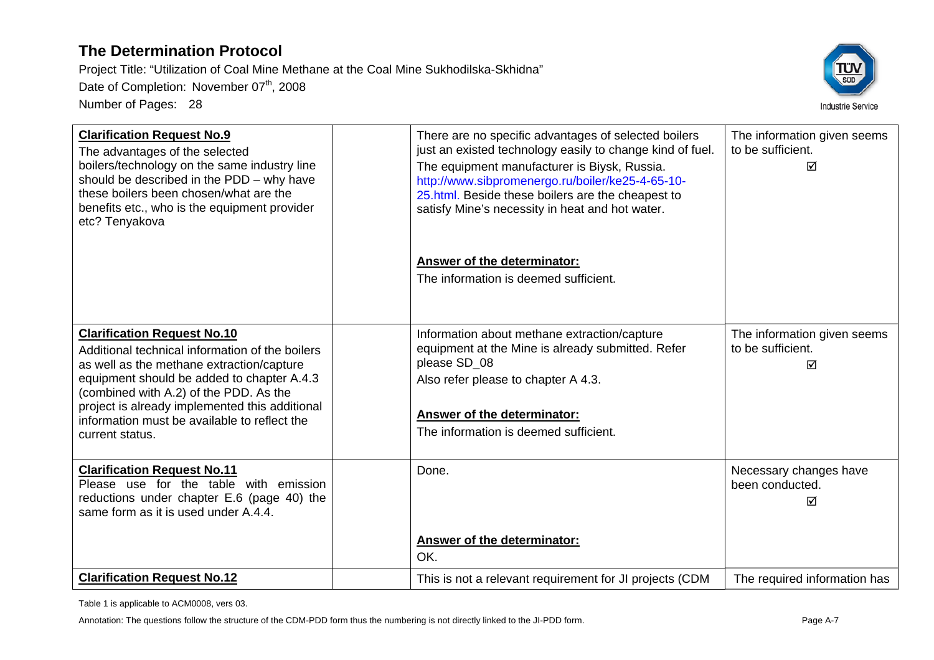Project Title: "Utilization of Coal Mine Methane at the Coal Mine Sukhodilska-Skhidna" Date of Completion: November 07<sup>th</sup>, 2008 Number of Pages: 28



| <b>Clarification Request No.9</b><br>The advantages of the selected<br>boilers/technology on the same industry line<br>should be described in the PDD - why have<br>these boilers been chosen/what are the<br>benefits etc., who is the equipment provider<br>etc? Tenyakova | There are no specific advantages of selected boilers<br>just an existed technology easily to change kind of fuel.<br>The equipment manufacturer is Biysk, Russia.<br>http://www.sibpromenergo.ru/boiler/ke25-4-65-10-<br>25.html. Beside these boilers are the cheapest to<br>satisfy Mine's necessity in heat and hot water. | The information given seems<br>to be sufficient.<br>⊠ |
|------------------------------------------------------------------------------------------------------------------------------------------------------------------------------------------------------------------------------------------------------------------------------|-------------------------------------------------------------------------------------------------------------------------------------------------------------------------------------------------------------------------------------------------------------------------------------------------------------------------------|-------------------------------------------------------|
|                                                                                                                                                                                                                                                                              | Answer of the determinator:                                                                                                                                                                                                                                                                                                   |                                                       |
|                                                                                                                                                                                                                                                                              | The information is deemed sufficient.                                                                                                                                                                                                                                                                                         |                                                       |
|                                                                                                                                                                                                                                                                              |                                                                                                                                                                                                                                                                                                                               |                                                       |
| <b>Clarification Request No.10</b><br>Additional technical information of the boilers                                                                                                                                                                                        | Information about methane extraction/capture<br>equipment at the Mine is already submitted. Refer                                                                                                                                                                                                                             | The information given seems<br>to be sufficient.      |
| as well as the methane extraction/capture                                                                                                                                                                                                                                    | please SD_08                                                                                                                                                                                                                                                                                                                  | ⊠                                                     |
| equipment should be added to chapter A.4.3<br>(combined with A.2) of the PDD. As the                                                                                                                                                                                         | Also refer please to chapter A 4.3.                                                                                                                                                                                                                                                                                           |                                                       |
| project is already implemented this additional<br>information must be available to reflect the                                                                                                                                                                               | Answer of the determinator:                                                                                                                                                                                                                                                                                                   |                                                       |
| current status.                                                                                                                                                                                                                                                              | The information is deemed sufficient.                                                                                                                                                                                                                                                                                         |                                                       |
|                                                                                                                                                                                                                                                                              |                                                                                                                                                                                                                                                                                                                               |                                                       |
| <b>Clarification Request No.11</b><br>Please use for the table with emission                                                                                                                                                                                                 | Done.                                                                                                                                                                                                                                                                                                                         | Necessary changes have<br>been conducted.             |
| reductions under chapter E.6 (page 40) the                                                                                                                                                                                                                                   |                                                                                                                                                                                                                                                                                                                               | ⊠                                                     |
| same form as it is used under A.4.4.                                                                                                                                                                                                                                         |                                                                                                                                                                                                                                                                                                                               |                                                       |
|                                                                                                                                                                                                                                                                              | Answer of the determinator:                                                                                                                                                                                                                                                                                                   |                                                       |
|                                                                                                                                                                                                                                                                              | OK.                                                                                                                                                                                                                                                                                                                           |                                                       |
| <b>Clarification Request No.12</b>                                                                                                                                                                                                                                           | This is not a relevant requirement for JI projects (CDM                                                                                                                                                                                                                                                                       | The required information has                          |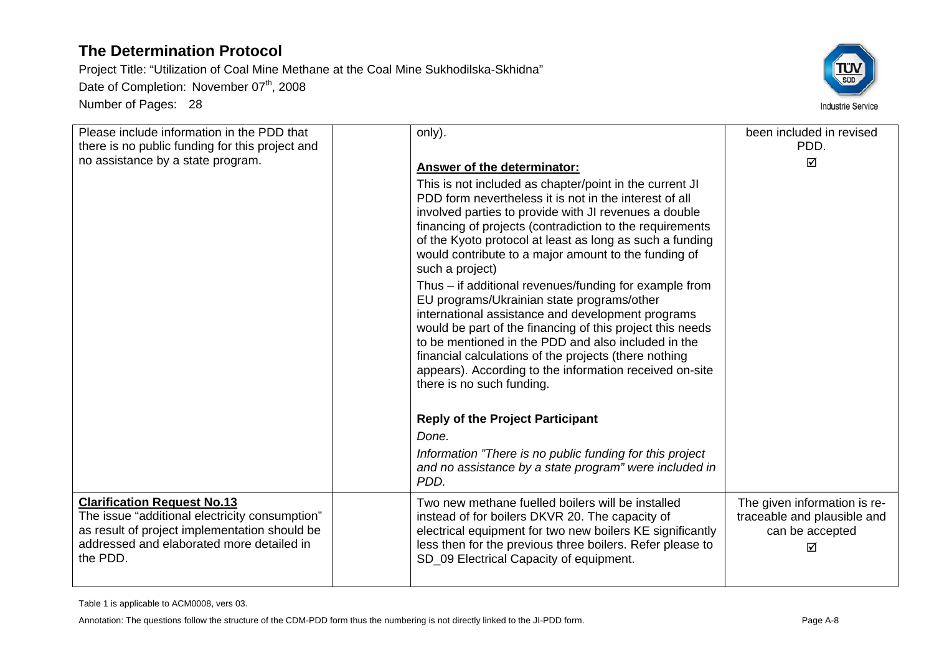Project Title: "Utilization of Coal Mine Methane at the Coal Mine Sukhodilska-Skhidna" Date of Completion: November 07<sup>th</sup>, 2008 Number of Pages: 28



| Please include information in the PDD that<br>there is no public funding for this project and                                                                                                  | only).                                                                                                                                                                                                                                                                                                                                                                                                                                                                                                                                                                                                                                                                                                                                                                                                                                                | been included in revised<br>PDD.                                                    |
|------------------------------------------------------------------------------------------------------------------------------------------------------------------------------------------------|-------------------------------------------------------------------------------------------------------------------------------------------------------------------------------------------------------------------------------------------------------------------------------------------------------------------------------------------------------------------------------------------------------------------------------------------------------------------------------------------------------------------------------------------------------------------------------------------------------------------------------------------------------------------------------------------------------------------------------------------------------------------------------------------------------------------------------------------------------|-------------------------------------------------------------------------------------|
| no assistance by a state program.                                                                                                                                                              | <b>Answer of the determinator:</b><br>This is not included as chapter/point in the current JI<br>PDD form nevertheless it is not in the interest of all<br>involved parties to provide with JI revenues a double<br>financing of projects (contradiction to the requirements<br>of the Kyoto protocol at least as long as such a funding<br>would contribute to a major amount to the funding of<br>such a project)<br>Thus – if additional revenues/funding for example from<br>EU programs/Ukrainian state programs/other<br>international assistance and development programs<br>would be part of the financing of this project this needs<br>to be mentioned in the PDD and also included in the<br>financial calculations of the projects (there nothing<br>appears). According to the information received on-site<br>there is no such funding. | ☑                                                                                   |
|                                                                                                                                                                                                | <b>Reply of the Project Participant</b><br>Done.                                                                                                                                                                                                                                                                                                                                                                                                                                                                                                                                                                                                                                                                                                                                                                                                      |                                                                                     |
|                                                                                                                                                                                                | Information "There is no public funding for this project<br>and no assistance by a state program" were included in<br>PDD.                                                                                                                                                                                                                                                                                                                                                                                                                                                                                                                                                                                                                                                                                                                            |                                                                                     |
| <b>Clarification Request No.13</b><br>The issue "additional electricity consumption"<br>as result of project implementation should be<br>addressed and elaborated more detailed in<br>the PDD. | Two new methane fuelled boilers will be installed<br>instead of for boilers DKVR 20. The capacity of<br>electrical equipment for two new boilers KE significantly<br>less then for the previous three boilers. Refer please to<br>SD_09 Electrical Capacity of equipment.                                                                                                                                                                                                                                                                                                                                                                                                                                                                                                                                                                             | The given information is re-<br>traceable and plausible and<br>can be accepted<br>☑ |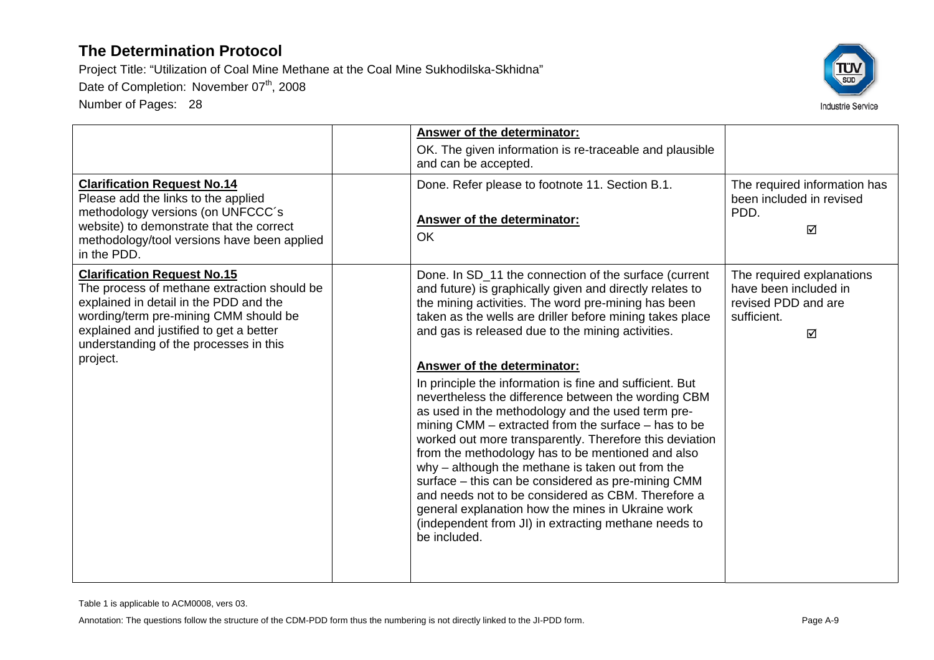Project Title: "Utilization of Coal Mine Methane at the Coal Mine Sukhodilska-Skhidna"

Date of Completion: November 07<sup>th</sup>, 2008

Number of Pages: 28



| <b>Clarification Request No.14</b><br>Please add the links to the applied<br>methodology versions (on UNFCCC's<br>website) to demonstrate that the correct<br>methodology/tool versions have been applied<br>in the PDD.                                              | Answer of the determinator:<br>OK. The given information is re-traceable and plausible<br>and can be accepted.<br>Done. Refer please to footnote 11. Section B.1.<br>Answer of the determinator:<br><b>OK</b>                                                                                                                                                                                                                                                                                                                                                                                                                                                                                                                                                                                                                                                                                                                                                        | The required information has<br>been included in revised<br>PDD.<br>☑                         |
|-----------------------------------------------------------------------------------------------------------------------------------------------------------------------------------------------------------------------------------------------------------------------|----------------------------------------------------------------------------------------------------------------------------------------------------------------------------------------------------------------------------------------------------------------------------------------------------------------------------------------------------------------------------------------------------------------------------------------------------------------------------------------------------------------------------------------------------------------------------------------------------------------------------------------------------------------------------------------------------------------------------------------------------------------------------------------------------------------------------------------------------------------------------------------------------------------------------------------------------------------------|-----------------------------------------------------------------------------------------------|
| <b>Clarification Request No.15</b><br>The process of methane extraction should be<br>explained in detail in the PDD and the<br>wording/term pre-mining CMM should be<br>explained and justified to get a better<br>understanding of the processes in this<br>project. | Done. In SD_11 the connection of the surface (current<br>and future) is graphically given and directly relates to<br>the mining activities. The word pre-mining has been<br>taken as the wells are driller before mining takes place<br>and gas is released due to the mining activities.<br>Answer of the determinator:<br>In principle the information is fine and sufficient. But<br>nevertheless the difference between the wording CBM<br>as used in the methodology and the used term pre-<br>mining CMM – extracted from the surface – has to be<br>worked out more transparently. Therefore this deviation<br>from the methodology has to be mentioned and also<br>why - although the methane is taken out from the<br>surface - this can be considered as pre-mining CMM<br>and needs not to be considered as CBM. Therefore a<br>general explanation how the mines in Ukraine work<br>(independent from JI) in extracting methane needs to<br>be included. | The required explanations<br>have been included in<br>revised PDD and are<br>sufficient.<br>☑ |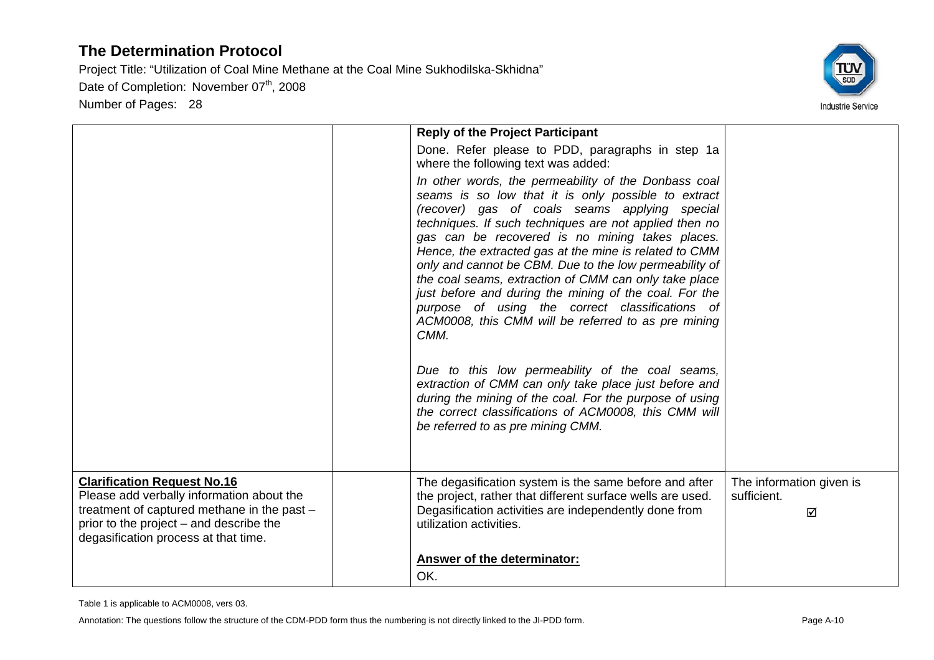Project Title: "Utilization of Coal Mine Methane at the Coal Mine Sukhodilska-Skhidna"

Date of Completion: November 07<sup>th</sup>, 2008

Number of Pages: 28



|                                                                                                                                                                                                                   | <b>Reply of the Project Participant</b><br>Done. Refer please to PDD, paragraphs in step 1a                                                                                                                                                                                                                                                                                                                                                                                                                                                                                                                                                                                                                                                    |                                              |
|-------------------------------------------------------------------------------------------------------------------------------------------------------------------------------------------------------------------|------------------------------------------------------------------------------------------------------------------------------------------------------------------------------------------------------------------------------------------------------------------------------------------------------------------------------------------------------------------------------------------------------------------------------------------------------------------------------------------------------------------------------------------------------------------------------------------------------------------------------------------------------------------------------------------------------------------------------------------------|----------------------------------------------|
|                                                                                                                                                                                                                   | where the following text was added:                                                                                                                                                                                                                                                                                                                                                                                                                                                                                                                                                                                                                                                                                                            |                                              |
|                                                                                                                                                                                                                   | In other words, the permeability of the Donbass coal<br>seams is so low that it is only possible to extract<br>(recover) gas of coals seams applying special<br>techniques. If such techniques are not applied then no<br>gas can be recovered is no mining takes places.<br>Hence, the extracted gas at the mine is related to CMM<br>only and cannot be CBM. Due to the low permeability of<br>the coal seams, extraction of CMM can only take place<br>just before and during the mining of the coal. For the<br>purpose of using the correct classifications of<br>ACM0008, this CMM will be referred to as pre mining<br>CMM.<br>Due to this low permeability of the coal seams,<br>extraction of CMM can only take place just before and |                                              |
|                                                                                                                                                                                                                   | during the mining of the coal. For the purpose of using<br>the correct classifications of ACM0008, this CMM will<br>be referred to as pre mining CMM.                                                                                                                                                                                                                                                                                                                                                                                                                                                                                                                                                                                          |                                              |
| <b>Clarification Request No.16</b><br>Please add verbally information about the<br>treatment of captured methane in the past -<br>prior to the project - and describe the<br>degasification process at that time. | The degasification system is the same before and after<br>the project, rather that different surface wells are used.<br>Degasification activities are independently done from<br>utilization activities.                                                                                                                                                                                                                                                                                                                                                                                                                                                                                                                                       | The information given is<br>sufficient.<br>☑ |
|                                                                                                                                                                                                                   | <b>Answer of the determinator:</b><br>OK.                                                                                                                                                                                                                                                                                                                                                                                                                                                                                                                                                                                                                                                                                                      |                                              |

Table 1 is applicable to ACM0008, vers 03.

Annotation: The questions follow the structure of the CDM-PDD form thus the numbering is not directly linked to the JI-PDD form. Page A-10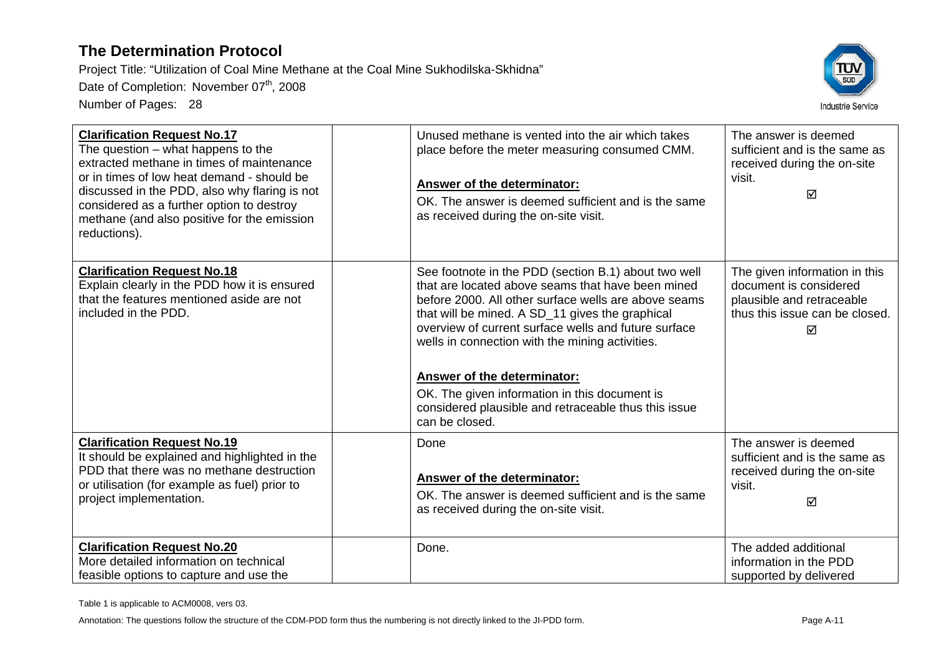Project Title: "Utilization of Coal Mine Methane at the Coal Mine Sukhodilska-Skhidna" Date of Completion: November 07<sup>th</sup>, 2008 Number of Pages: 28



| <b>Clarification Request No.17</b><br>The question $-$ what happens to the<br>extracted methane in times of maintenance<br>or in times of low heat demand - should be<br>discussed in the PDD, also why flaring is not<br>considered as a further option to destroy<br>methane (and also positive for the emission<br>reductions). | Unused methane is vented into the air which takes<br>place before the meter measuring consumed CMM.<br>Answer of the determinator:<br>OK. The answer is deemed sufficient and is the same<br>as received during the on-site visit.                                                                                                                                                                                                                                                               | The answer is deemed<br>sufficient and is the same as<br>received during the on-site<br>visit.<br>☑                         |
|------------------------------------------------------------------------------------------------------------------------------------------------------------------------------------------------------------------------------------------------------------------------------------------------------------------------------------|--------------------------------------------------------------------------------------------------------------------------------------------------------------------------------------------------------------------------------------------------------------------------------------------------------------------------------------------------------------------------------------------------------------------------------------------------------------------------------------------------|-----------------------------------------------------------------------------------------------------------------------------|
| <b>Clarification Request No.18</b><br>Explain clearly in the PDD how it is ensured<br>that the features mentioned aside are not<br>included in the PDD.                                                                                                                                                                            | See footnote in the PDD (section B.1) about two well<br>that are located above seams that have been mined<br>before 2000. All other surface wells are above seams<br>that will be mined. A SD_11 gives the graphical<br>overview of current surface wells and future surface<br>wells in connection with the mining activities.<br><b>Answer of the determinator:</b><br>OK. The given information in this document is<br>considered plausible and retraceable thus this issue<br>can be closed. | The given information in this<br>document is considered<br>plausible and retraceable<br>thus this issue can be closed.<br>☑ |
| <b>Clarification Request No.19</b><br>It should be explained and highlighted in the<br>PDD that there was no methane destruction<br>or utilisation (for example as fuel) prior to<br>project implementation.                                                                                                                       | Done<br>Answer of the determinator:<br>OK. The answer is deemed sufficient and is the same<br>as received during the on-site visit.                                                                                                                                                                                                                                                                                                                                                              | The answer is deemed<br>sufficient and is the same as<br>received during the on-site<br>visit.<br>☑                         |
| <b>Clarification Request No.20</b><br>More detailed information on technical<br>feasible options to capture and use the                                                                                                                                                                                                            | Done.                                                                                                                                                                                                                                                                                                                                                                                                                                                                                            | The added additional<br>information in the PDD<br>supported by delivered                                                    |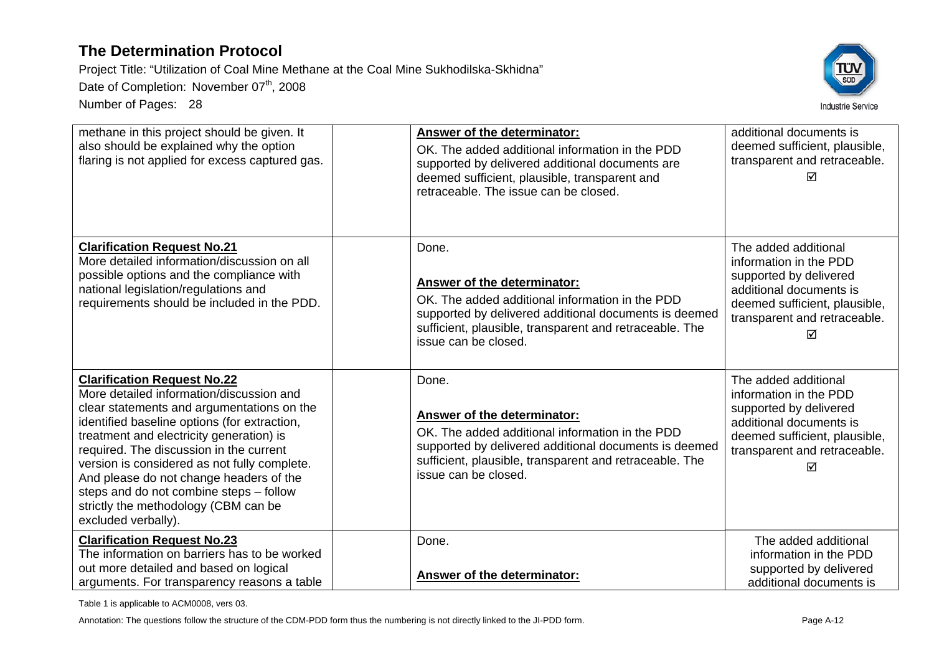Project Title: "Utilization of Coal Mine Methane at the Coal Mine Sukhodilska-Skhidna"

Date of Completion: November 07<sup>th</sup>, 2008

Number of Pages: 28



| methane in this project should be given. It<br>also should be explained why the option<br>flaring is not applied for excess captured gas.                                                                                                                                                                                                                                                                                                                                | Answer of the determinator:<br>OK. The added additional information in the PDD<br>supported by delivered additional documents are<br>deemed sufficient, plausible, transparent and<br>retraceable. The issue can be closed.                | additional documents is<br>deemed sufficient, plausible,<br>transparent and retraceable.                                                                                  |
|--------------------------------------------------------------------------------------------------------------------------------------------------------------------------------------------------------------------------------------------------------------------------------------------------------------------------------------------------------------------------------------------------------------------------------------------------------------------------|--------------------------------------------------------------------------------------------------------------------------------------------------------------------------------------------------------------------------------------------|---------------------------------------------------------------------------------------------------------------------------------------------------------------------------|
| <b>Clarification Request No.21</b><br>More detailed information/discussion on all<br>possible options and the compliance with<br>national legislation/regulations and<br>requirements should be included in the PDD.                                                                                                                                                                                                                                                     | Done.<br>Answer of the determinator:<br>OK. The added additional information in the PDD<br>supported by delivered additional documents is deemed<br>sufficient, plausible, transparent and retraceable. The<br>issue can be closed.        | The added additional<br>information in the PDD<br>supported by delivered<br>additional documents is<br>deemed sufficient, plausible,<br>transparent and retraceable.<br>⊠ |
| <b>Clarification Request No.22</b><br>More detailed information/discussion and<br>clear statements and argumentations on the<br>identified baseline options (for extraction,<br>treatment and electricity generation) is<br>required. The discussion in the current<br>version is considered as not fully complete.<br>And please do not change headers of the<br>steps and do not combine steps - follow<br>strictly the methodology (CBM can be<br>excluded verbally). | Done.<br><b>Answer of the determinator:</b><br>OK. The added additional information in the PDD<br>supported by delivered additional documents is deemed<br>sufficient, plausible, transparent and retraceable. The<br>issue can be closed. | The added additional<br>information in the PDD<br>supported by delivered<br>additional documents is<br>deemed sufficient, plausible,<br>transparent and retraceable.<br>⊠ |
| <b>Clarification Request No.23</b><br>The information on barriers has to be worked<br>out more detailed and based on logical<br>arguments. For transparency reasons a table                                                                                                                                                                                                                                                                                              | Done.<br><b>Answer of the determinator:</b>                                                                                                                                                                                                | The added additional<br>information in the PDD<br>supported by delivered<br>additional documents is                                                                       |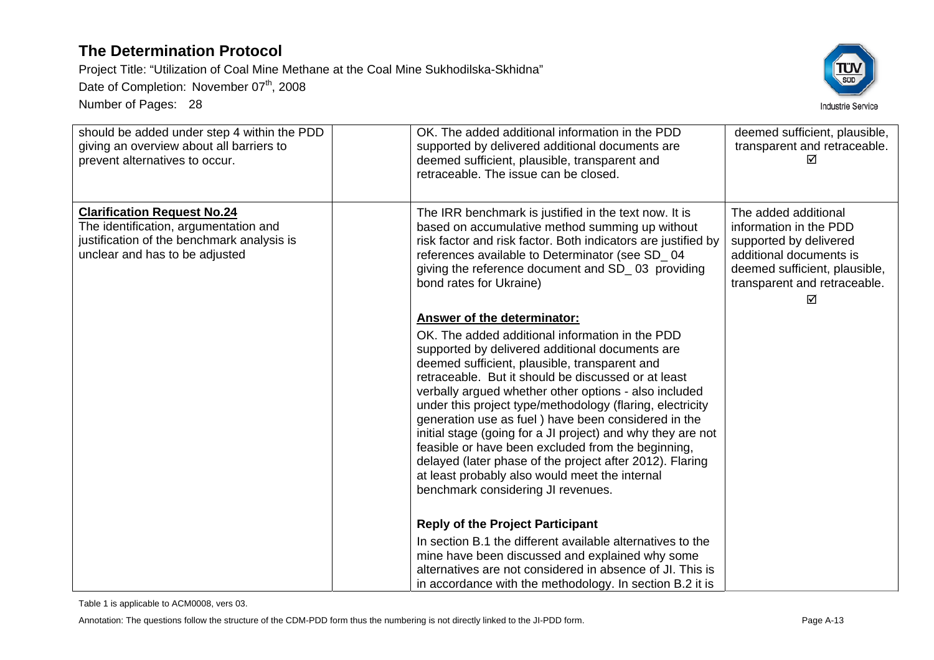Project Title: "Utilization of Coal Mine Methane at the Coal Mine Sukhodilska-Skhidna"

Date of Completion: November 07<sup>th</sup>, 2008

Number of Pages: 28



| should be added under step 4 within the PDD<br>giving an overview about all barriers to<br>prevent alternatives to occur.                                   | OK. The added additional information in the PDD<br>supported by delivered additional documents are<br>deemed sufficient, plausible, transparent and<br>retraceable. The issue can be closed.                                                                                                                                                                                                                                                                                                                                                                                                                                                                                                           | deemed sufficient, plausible,<br>transparent and retraceable.                                                                                                             |
|-------------------------------------------------------------------------------------------------------------------------------------------------------------|--------------------------------------------------------------------------------------------------------------------------------------------------------------------------------------------------------------------------------------------------------------------------------------------------------------------------------------------------------------------------------------------------------------------------------------------------------------------------------------------------------------------------------------------------------------------------------------------------------------------------------------------------------------------------------------------------------|---------------------------------------------------------------------------------------------------------------------------------------------------------------------------|
| <b>Clarification Request No.24</b><br>The identification, argumentation and<br>justification of the benchmark analysis is<br>unclear and has to be adjusted | The IRR benchmark is justified in the text now. It is<br>based on accumulative method summing up without<br>risk factor and risk factor. Both indicators are justified by<br>references available to Determinator (see SD_04<br>giving the reference document and SD_03 providing<br>bond rates for Ukraine)                                                                                                                                                                                                                                                                                                                                                                                           | The added additional<br>information in the PDD<br>supported by delivered<br>additional documents is<br>deemed sufficient, plausible,<br>transparent and retraceable.<br>⊠ |
|                                                                                                                                                             | <b>Answer of the determinator:</b><br>OK. The added additional information in the PDD<br>supported by delivered additional documents are<br>deemed sufficient, plausible, transparent and<br>retraceable. But it should be discussed or at least<br>verbally argued whether other options - also included<br>under this project type/methodology (flaring, electricity<br>generation use as fuel) have been considered in the<br>initial stage (going for a JI project) and why they are not<br>feasible or have been excluded from the beginning,<br>delayed (later phase of the project after 2012). Flaring<br>at least probably also would meet the internal<br>benchmark considering JI revenues. |                                                                                                                                                                           |
|                                                                                                                                                             | <b>Reply of the Project Participant</b><br>In section B.1 the different available alternatives to the<br>mine have been discussed and explained why some<br>alternatives are not considered in absence of Jl. This is<br>in accordance with the methodology. In section B.2 it is                                                                                                                                                                                                                                                                                                                                                                                                                      |                                                                                                                                                                           |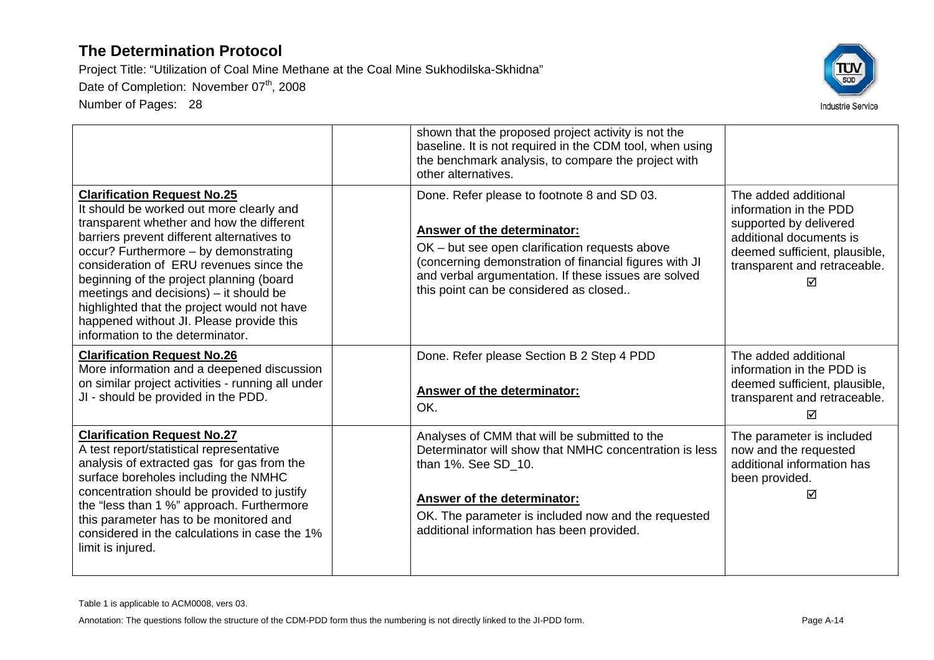Number of Pages: 28



|                                                                                                                                                                                                                                                                                                                                                                                                                                                                                    | shown that the proposed project activity is not the<br>baseline. It is not required in the CDM tool, when using<br>the benchmark analysis, to compare the project with<br>other alternatives.                                                                                            |                                                                                                                                                                           |
|------------------------------------------------------------------------------------------------------------------------------------------------------------------------------------------------------------------------------------------------------------------------------------------------------------------------------------------------------------------------------------------------------------------------------------------------------------------------------------|------------------------------------------------------------------------------------------------------------------------------------------------------------------------------------------------------------------------------------------------------------------------------------------|---------------------------------------------------------------------------------------------------------------------------------------------------------------------------|
| <b>Clarification Request No.25</b><br>It should be worked out more clearly and<br>transparent whether and how the different<br>barriers prevent different alternatives to<br>occur? Furthermore - by demonstrating<br>consideration of ERU revenues since the<br>beginning of the project planning (board<br>meetings and decisions) – it should be<br>highlighted that the project would not have<br>happened without JI. Please provide this<br>information to the determinator. | Done. Refer please to footnote 8 and SD 03.<br>Answer of the determinator:<br>OK – but see open clarification requests above<br>(concerning demonstration of financial figures with JI<br>and verbal argumentation. If these issues are solved<br>this point can be considered as closed | The added additional<br>information in the PDD<br>supported by delivered<br>additional documents is<br>deemed sufficient, plausible,<br>transparent and retraceable.<br>☑ |
| <b>Clarification Request No.26</b><br>More information and a deepened discussion<br>on similar project activities - running all under<br>JI - should be provided in the PDD.                                                                                                                                                                                                                                                                                                       | Done. Refer please Section B 2 Step 4 PDD<br><b>Answer of the determinator:</b><br>OK.                                                                                                                                                                                                   | The added additional<br>information in the PDD is<br>deemed sufficient, plausible,<br>transparent and retraceable.<br>⊠                                                   |
| <b>Clarification Request No.27</b><br>A test report/statistical representative<br>analysis of extracted gas for gas from the<br>surface boreholes including the NMHC<br>concentration should be provided to justify<br>the "less than 1 %" approach. Furthermore<br>this parameter has to be monitored and<br>considered in the calculations in case the 1%<br>limit is injured.                                                                                                   | Analyses of CMM that will be submitted to the<br>Determinator will show that NMHC concentration is less<br>than 1%. See SD 10.<br><b>Answer of the determinator:</b><br>OK. The parameter is included now and the requested<br>additional information has been provided.                 | The parameter is included<br>now and the requested<br>additional information has<br>been provided.<br>☑                                                                   |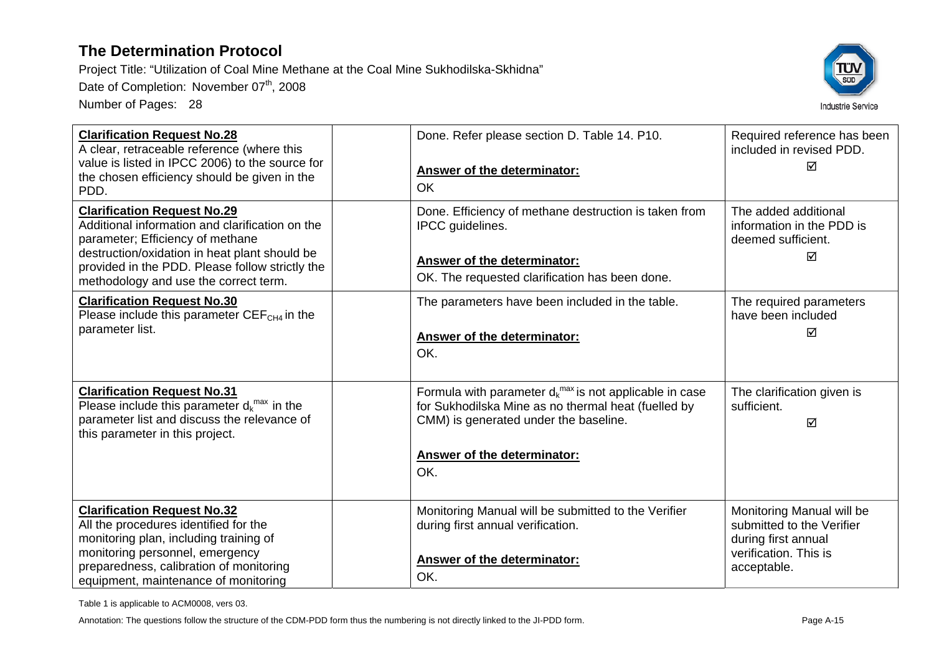Project Title: "Utilization of Coal Mine Methane at the Coal Mine Sukhodilska-Skhidna"

Date of Completion: November 07<sup>th</sup>, 2008

Number of Pages: 28



| <b>Clarification Request No.28</b><br>A clear, retraceable reference (where this<br>value is listed in IPCC 2006) to the source for<br>the chosen efficiency should be given in the<br>PDD.                                                                            | Done. Refer please section D. Table 14. P10.<br>Answer of the determinator:<br>OK                                                                                                                         | Required reference has been<br>included in revised PDD.<br>☑                                                          |
|------------------------------------------------------------------------------------------------------------------------------------------------------------------------------------------------------------------------------------------------------------------------|-----------------------------------------------------------------------------------------------------------------------------------------------------------------------------------------------------------|-----------------------------------------------------------------------------------------------------------------------|
| <b>Clarification Request No.29</b><br>Additional information and clarification on the<br>parameter; Efficiency of methane<br>destruction/oxidation in heat plant should be<br>provided in the PDD. Please follow strictly the<br>methodology and use the correct term. | Done. Efficiency of methane destruction is taken from<br><b>IPCC</b> quidelines.<br>Answer of the determinator:<br>OK. The requested clarification has been done.                                         | The added additional<br>information in the PDD is<br>deemed sufficient.<br>☑                                          |
| <b>Clarification Request No.30</b><br>Please include this parameter $CEFCH4$ in the<br>parameter list.                                                                                                                                                                 | The parameters have been included in the table.<br><b>Answer of the determinator:</b><br>OK.                                                                                                              | The required parameters<br>have been included<br>☑                                                                    |
| <b>Clarification Request No.31</b><br>Please include this parameter $d_k^{max}$ in the<br>parameter list and discuss the relevance of<br>this parameter in this project.                                                                                               | Formula with parameter $d_k^{max}$ is not applicable in case<br>for Sukhodilska Mine as no thermal heat (fuelled by<br>CMM) is generated under the baseline.<br><b>Answer of the determinator:</b><br>OK. | The clarification given is<br>sufficient.<br>☑                                                                        |
| <b>Clarification Request No.32</b><br>All the procedures identified for the<br>monitoring plan, including training of<br>monitoring personnel, emergency<br>preparedness, calibration of monitoring<br>equipment, maintenance of monitoring                            | Monitoring Manual will be submitted to the Verifier<br>during first annual verification.<br>Answer of the determinator:<br>OK.                                                                            | Monitoring Manual will be<br>submitted to the Verifier<br>during first annual<br>verification. This is<br>acceptable. |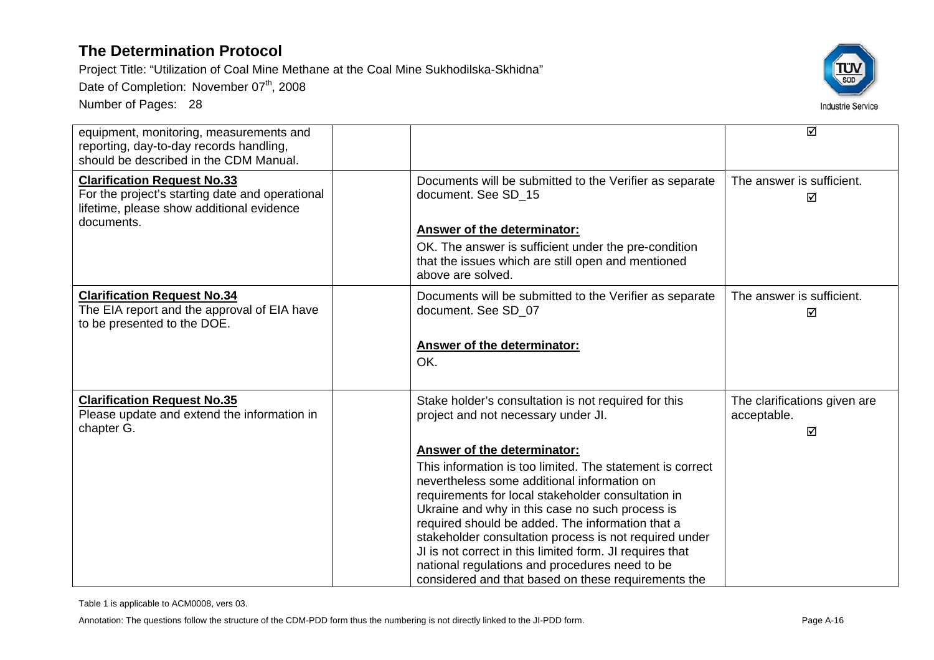Project Title: "Utilization of Coal Mine Methane at the Coal Mine Sukhodilska-Skhidna"

Date of Completion: November 07<sup>th</sup>, 2008

Number of Pages: 28



| equipment, monitoring, measurements and<br>reporting, day-to-day records handling,<br>should be described in the CDM Manual.                     |                                                                                                                                                                                                                                                                                                                                                                                                                                                                                                                                     | ☑                                                |
|--------------------------------------------------------------------------------------------------------------------------------------------------|-------------------------------------------------------------------------------------------------------------------------------------------------------------------------------------------------------------------------------------------------------------------------------------------------------------------------------------------------------------------------------------------------------------------------------------------------------------------------------------------------------------------------------------|--------------------------------------------------|
| <b>Clarification Request No.33</b><br>For the project's starting date and operational<br>lifetime, please show additional evidence<br>documents. | Documents will be submitted to the Verifier as separate<br>document. See SD 15                                                                                                                                                                                                                                                                                                                                                                                                                                                      | The answer is sufficient.<br>☑                   |
|                                                                                                                                                  | <b>Answer of the determinator:</b><br>OK. The answer is sufficient under the pre-condition<br>that the issues which are still open and mentioned<br>above are solved.                                                                                                                                                                                                                                                                                                                                                               |                                                  |
| <b>Clarification Request No.34</b><br>The EIA report and the approval of EIA have<br>to be presented to the DOE.                                 | Documents will be submitted to the Verifier as separate<br>document. See SD_07                                                                                                                                                                                                                                                                                                                                                                                                                                                      | The answer is sufficient.<br>☑                   |
|                                                                                                                                                  | Answer of the determinator:<br>OK.                                                                                                                                                                                                                                                                                                                                                                                                                                                                                                  |                                                  |
| <b>Clarification Request No.35</b><br>Please update and extend the information in<br>chapter G.                                                  | Stake holder's consultation is not required for this<br>project and not necessary under JI.                                                                                                                                                                                                                                                                                                                                                                                                                                         | The clarifications given are<br>acceptable.<br>☑ |
|                                                                                                                                                  | Answer of the determinator:<br>This information is too limited. The statement is correct<br>nevertheless some additional information on<br>requirements for local stakeholder consultation in<br>Ukraine and why in this case no such process is<br>required should be added. The information that a<br>stakeholder consultation process is not required under<br>JI is not correct in this limited form. JI requires that<br>national regulations and procedures need to be<br>considered and that based on these requirements the |                                                  |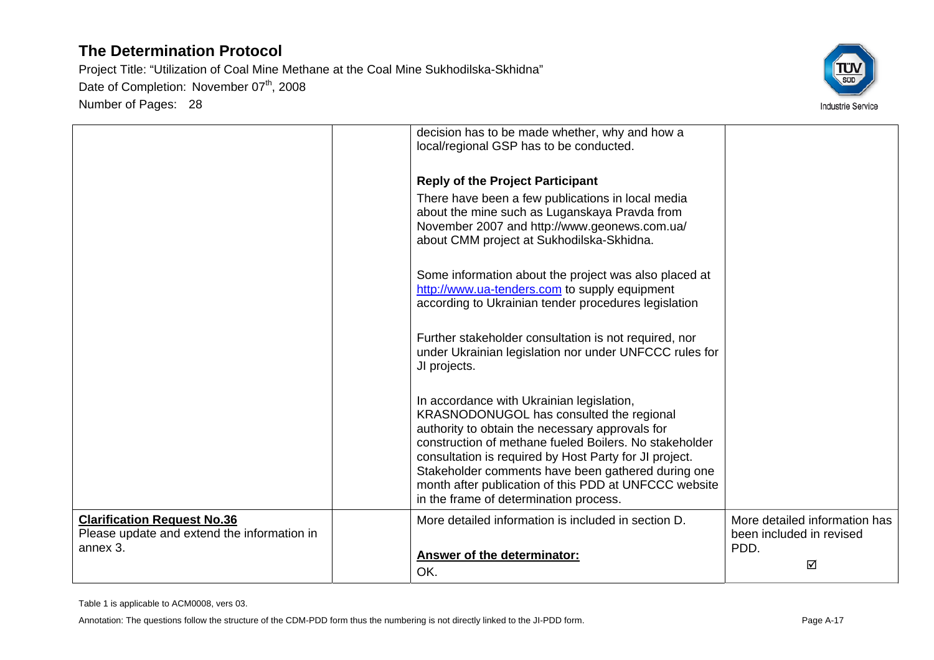

|                                                                                               | decision has to be made whether, why and how a<br>local/regional GSP has to be conducted.                                                                                                                                                                                                                                                                                                                             |                                                                        |
|-----------------------------------------------------------------------------------------------|-----------------------------------------------------------------------------------------------------------------------------------------------------------------------------------------------------------------------------------------------------------------------------------------------------------------------------------------------------------------------------------------------------------------------|------------------------------------------------------------------------|
|                                                                                               | <b>Reply of the Project Participant</b>                                                                                                                                                                                                                                                                                                                                                                               |                                                                        |
|                                                                                               | There have been a few publications in local media<br>about the mine such as Luganskaya Pravda from<br>November 2007 and http://www.geonews.com.ua/<br>about CMM project at Sukhodilska-Skhidna.                                                                                                                                                                                                                       |                                                                        |
|                                                                                               | Some information about the project was also placed at<br>http://www.ua-tenders.com to supply equipment<br>according to Ukrainian tender procedures legislation                                                                                                                                                                                                                                                        |                                                                        |
|                                                                                               | Further stakeholder consultation is not required, nor<br>under Ukrainian legislation nor under UNFCCC rules for<br>JI projects.                                                                                                                                                                                                                                                                                       |                                                                        |
|                                                                                               | In accordance with Ukrainian legislation,<br>KRASNODONUGOL has consulted the regional<br>authority to obtain the necessary approvals for<br>construction of methane fueled Boilers. No stakeholder<br>consultation is required by Host Party for JI project.<br>Stakeholder comments have been gathered during one<br>month after publication of this PDD at UNFCCC website<br>in the frame of determination process. |                                                                        |
| <b>Clarification Request No.36</b><br>Please update and extend the information in<br>annex 3. | More detailed information is included in section D.<br>Answer of the determinator:<br>OK.                                                                                                                                                                                                                                                                                                                             | More detailed information has<br>been included in revised<br>PDD.<br>☑ |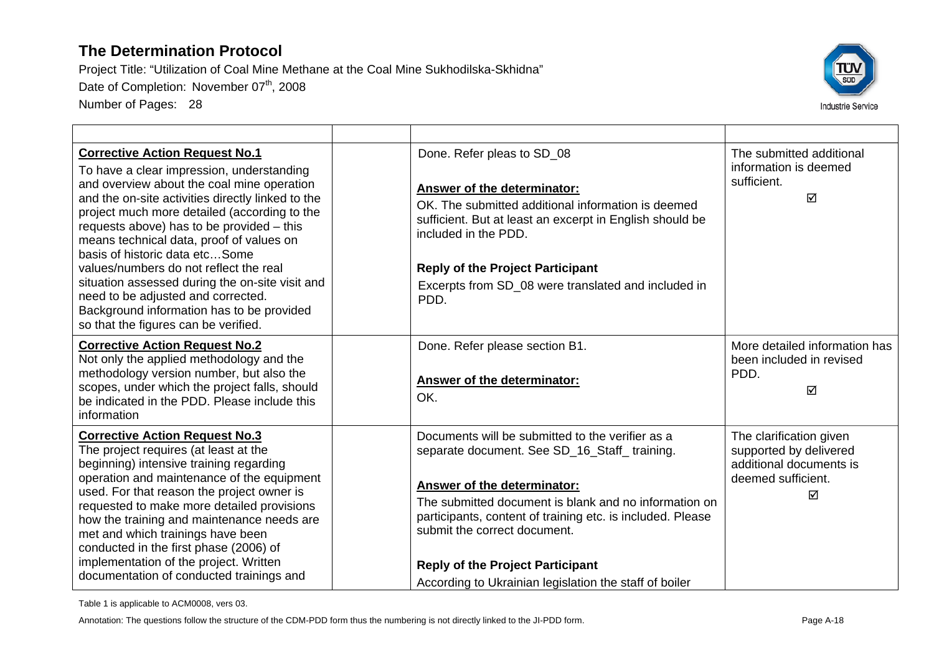Project Title: "Utilization of Coal Mine Methane at the Coal Mine Sukhodilska-Skhidna" Date of Completion: November 07<sup>th</sup>, 2008 Number of Pages: 28



| <b>Corrective Action Request No.1</b><br>To have a clear impression, understanding<br>and overview about the coal mine operation<br>and the on-site activities directly linked to the<br>project much more detailed (according to the<br>requests above) has to be provided - this<br>means technical data, proof of values on<br>basis of historic data etcSome<br>values/numbers do not reflect the real<br>situation assessed during the on-site visit and<br>need to be adjusted and corrected.<br>Background information has to be provided<br>so that the figures can be verified. | Done. Refer pleas to SD_08<br>Answer of the determinator:<br>OK. The submitted additional information is deemed<br>sufficient. But at least an excerpt in English should be<br>included in the PDD.<br><b>Reply of the Project Participant</b><br>Excerpts from SD_08 were translated and included in<br>PDD.                                                                               | The submitted additional<br>information is deemed<br>sufficient.<br>⊠                                   |
|------------------------------------------------------------------------------------------------------------------------------------------------------------------------------------------------------------------------------------------------------------------------------------------------------------------------------------------------------------------------------------------------------------------------------------------------------------------------------------------------------------------------------------------------------------------------------------------|---------------------------------------------------------------------------------------------------------------------------------------------------------------------------------------------------------------------------------------------------------------------------------------------------------------------------------------------------------------------------------------------|---------------------------------------------------------------------------------------------------------|
| <b>Corrective Action Request No.2</b><br>Not only the applied methodology and the<br>methodology version number, but also the<br>scopes, under which the project falls, should<br>be indicated in the PDD. Please include this<br>information                                                                                                                                                                                                                                                                                                                                            | Done. Refer please section B1.<br>Answer of the determinator:<br>OK.                                                                                                                                                                                                                                                                                                                        | More detailed information has<br>been included in revised<br>PDD.<br>☑                                  |
| <b>Corrective Action Request No.3</b><br>The project requires (at least at the<br>beginning) intensive training regarding<br>operation and maintenance of the equipment<br>used. For that reason the project owner is<br>requested to make more detailed provisions<br>how the training and maintenance needs are<br>met and which trainings have been<br>conducted in the first phase (2006) of<br>implementation of the project. Written<br>documentation of conducted trainings and                                                                                                   | Documents will be submitted to the verifier as a<br>separate document. See SD_16_Staff_training.<br>Answer of the determinator:<br>The submitted document is blank and no information on<br>participants, content of training etc. is included. Please<br>submit the correct document.<br><b>Reply of the Project Participant</b><br>According to Ukrainian legislation the staff of boiler | The clarification given<br>supported by delivered<br>additional documents is<br>deemed sufficient.<br>☑ |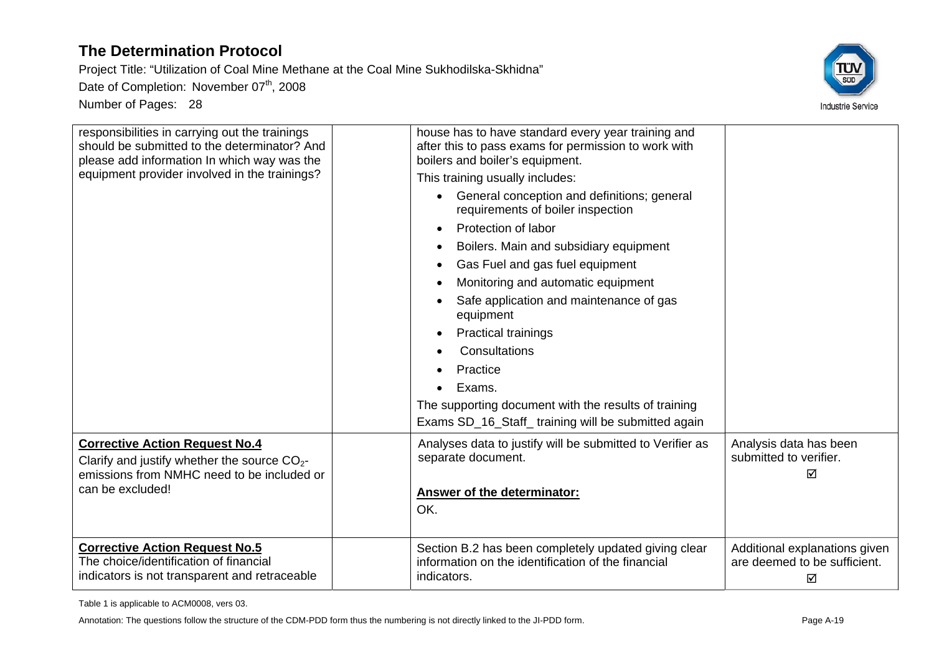Project Title: "Utilization of Coal Mine Methane at the Coal Mine Sukhodilska-Skhidna" Date of Completion: November 07<sup>th</sup>, 2008 Number of Pages: 28



| responsibilities in carrying out the trainings<br>should be submitted to the determinator? And<br>please add information In which way was the<br>equipment provider involved in the trainings? | house has to have standard every year training and<br>after this to pass exams for permission to work with<br>boilers and boiler's equipment.<br>This training usually includes:<br>General conception and definitions; general<br>requirements of boiler inspection<br>Protection of labor<br>Boilers. Main and subsidiary equipment<br>Gas Fuel and gas fuel equipment<br>Monitoring and automatic equipment<br>Safe application and maintenance of gas<br>equipment<br><b>Practical trainings</b><br>Consultations<br>Practice<br>Exams. |                                                                    |
|------------------------------------------------------------------------------------------------------------------------------------------------------------------------------------------------|---------------------------------------------------------------------------------------------------------------------------------------------------------------------------------------------------------------------------------------------------------------------------------------------------------------------------------------------------------------------------------------------------------------------------------------------------------------------------------------------------------------------------------------------|--------------------------------------------------------------------|
|                                                                                                                                                                                                | The supporting document with the results of training                                                                                                                                                                                                                                                                                                                                                                                                                                                                                        |                                                                    |
|                                                                                                                                                                                                | Exams SD_16_Staff_training will be submitted again                                                                                                                                                                                                                                                                                                                                                                                                                                                                                          |                                                                    |
| <b>Corrective Action Request No.4</b><br>Clarify and justify whether the source $CO_{2}$ -<br>emissions from NMHC need to be included or<br>can be excluded!                                   | Analyses data to justify will be submitted to Verifier as<br>separate document.<br><b>Answer of the determinator:</b><br>OK.                                                                                                                                                                                                                                                                                                                                                                                                                | Analysis data has been<br>submitted to verifier.<br>☑              |
|                                                                                                                                                                                                |                                                                                                                                                                                                                                                                                                                                                                                                                                                                                                                                             |                                                                    |
| <b>Corrective Action Request No.5</b><br>The choice/identification of financial<br>indicators is not transparent and retraceable                                                               | Section B.2 has been completely updated giving clear<br>information on the identification of the financial<br>indicators.                                                                                                                                                                                                                                                                                                                                                                                                                   | Additional explanations given<br>are deemed to be sufficient.<br>⊠ |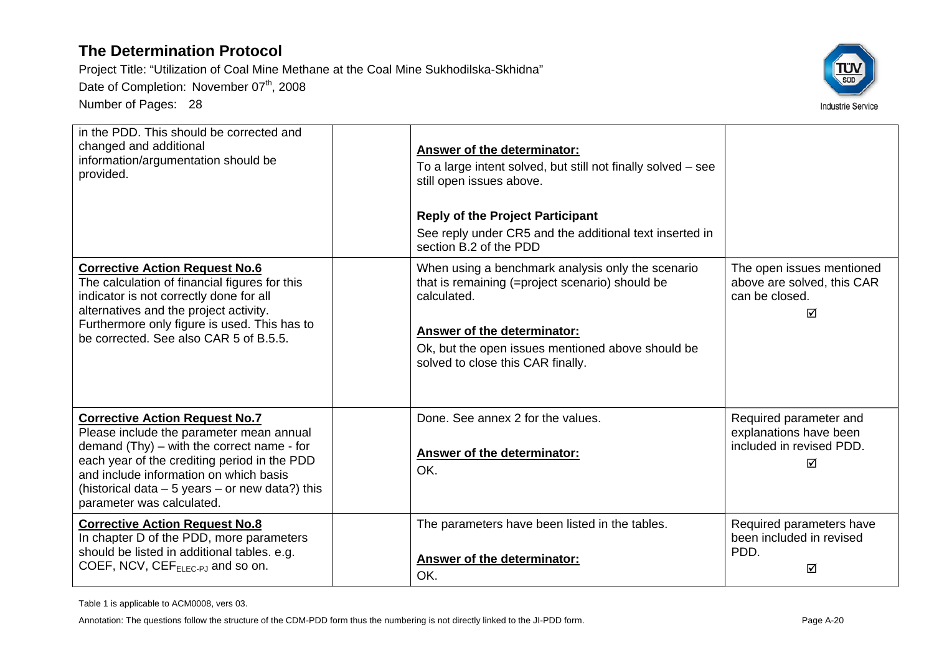Project Title: "Utilization of Coal Mine Methane at the Coal Mine Sukhodilska-Skhidna"

Date of Completion: November 07<sup>th</sup>, 2008

Number of Pages: 28



| in the PDD. This should be corrected and<br>changed and additional<br>information/argumentation should be<br>provided.                                                                                                                                                                                      | Answer of the determinator:<br>To a large intent solved, but still not finally solved – see<br>still open issues above.<br><b>Reply of the Project Participant</b><br>See reply under CR5 and the additional text inserted in<br>section B.2 of the PDD |                                                                                   |
|-------------------------------------------------------------------------------------------------------------------------------------------------------------------------------------------------------------------------------------------------------------------------------------------------------------|---------------------------------------------------------------------------------------------------------------------------------------------------------------------------------------------------------------------------------------------------------|-----------------------------------------------------------------------------------|
| <b>Corrective Action Request No.6</b><br>The calculation of financial figures for this<br>indicator is not correctly done for all<br>alternatives and the project activity.<br>Furthermore only figure is used. This has to<br>be corrected. See also CAR 5 of B.5.5.                                       | When using a benchmark analysis only the scenario<br>that is remaining (=project scenario) should be<br>calculated.<br>Answer of the determinator:<br>Ok, but the open issues mentioned above should be<br>solved to close this CAR finally.            | The open issues mentioned<br>above are solved, this CAR<br>can be closed.<br>⊠    |
| <b>Corrective Action Request No.7</b><br>Please include the parameter mean annual<br>demand $(Thy)$ – with the correct name - for<br>each year of the crediting period in the PDD<br>and include information on which basis<br>(historical data - 5 years - or new data?) this<br>parameter was calculated. | Done. See annex 2 for the values.<br>Answer of the determinator:<br>OK.                                                                                                                                                                                 | Required parameter and<br>explanations have been<br>included in revised PDD.<br>☑ |
| <b>Corrective Action Request No.8</b><br>In chapter D of the PDD, more parameters<br>should be listed in additional tables. e.g.<br>COEF, NCV, $CEF_{ELEC-PJ}$ and so on.                                                                                                                                   | The parameters have been listed in the tables.<br>Answer of the determinator:<br>OK.                                                                                                                                                                    | Required parameters have<br>been included in revised<br>PDD.<br>☑                 |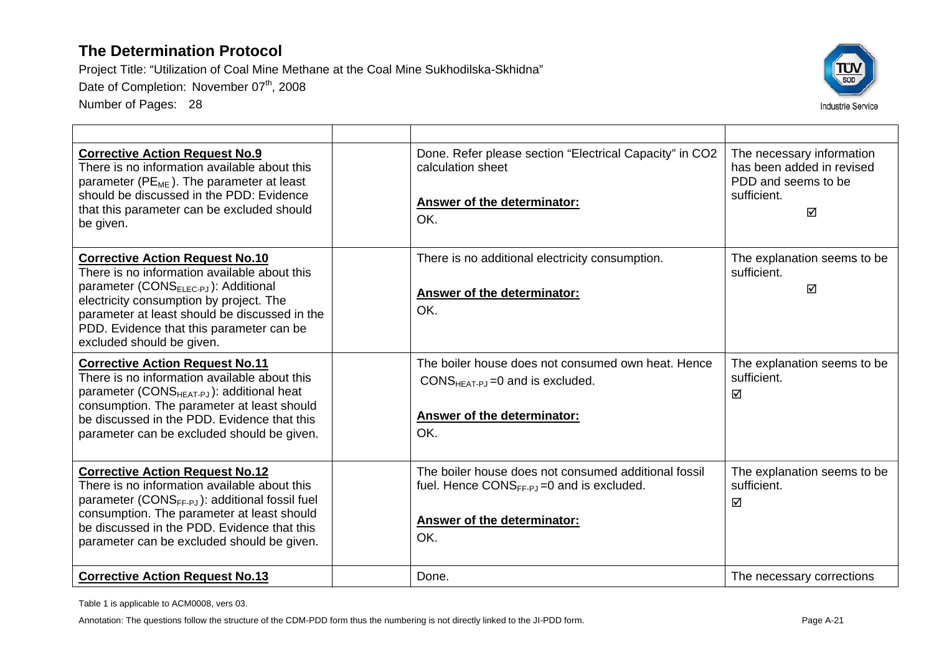Project Title: "Utilization of Coal Mine Methane at the Coal Mine Sukhodilska-Skhidna" Date of Completion: November 07<sup>th</sup>, 2008 Number of Pages: 28



| <b>Corrective Action Request No.9</b><br>There is no information available about this<br>parameter ( $PE_{ME}$ ). The parameter at least<br>should be discussed in the PDD: Evidence<br>that this parameter can be excluded should<br>be given.                                                                 | Done. Refer please section "Electrical Capacity" in CO2<br>calculation sheet<br>Answer of the determinator:<br>OK.                           | The necessary information<br>has been added in revised<br>PDD and seems to be<br>sufficient.<br>☑ |
|-----------------------------------------------------------------------------------------------------------------------------------------------------------------------------------------------------------------------------------------------------------------------------------------------------------------|----------------------------------------------------------------------------------------------------------------------------------------------|---------------------------------------------------------------------------------------------------|
| <b>Corrective Action Request No.10</b><br>There is no information available about this<br>parameter (CONS <sub>ELEC-PJ</sub> ): Additional<br>electricity consumption by project. The<br>parameter at least should be discussed in the<br>PDD. Evidence that this parameter can be<br>excluded should be given. | There is no additional electricity consumption.<br><b>Answer of the determinator:</b><br>OK.                                                 | The explanation seems to be<br>sufficient.<br>☑                                                   |
| <b>Corrective Action Request No.11</b><br>There is no information available about this<br>parameter (CONS $_{\text{HEAT-PJ}}$ ): additional heat<br>consumption. The parameter at least should<br>be discussed in the PDD. Evidence that this<br>parameter can be excluded should be given.                     | The boiler house does not consumed own heat. Hence<br>CONS $_{HEAT-PJ}$ =0 and is excluded.<br>Answer of the determinator:<br>OK.            | The explanation seems to be<br>sufficient.<br>☑                                                   |
| <b>Corrective Action Request No.12</b><br>There is no information available about this<br>parameter $(CONS_{FF-P,J})$ : additional fossil fuel<br>consumption. The parameter at least should<br>be discussed in the PDD. Evidence that this<br>parameter can be excluded should be given.                       | The boiler house does not consumed additional fossil<br>fuel. Hence $CONS_{FF-P,J}=0$ and is excluded.<br>Answer of the determinator:<br>OK. | The explanation seems to be<br>sufficient.<br>☑                                                   |
| <b>Corrective Action Request No.13</b>                                                                                                                                                                                                                                                                          | Done.                                                                                                                                        | The necessary corrections                                                                         |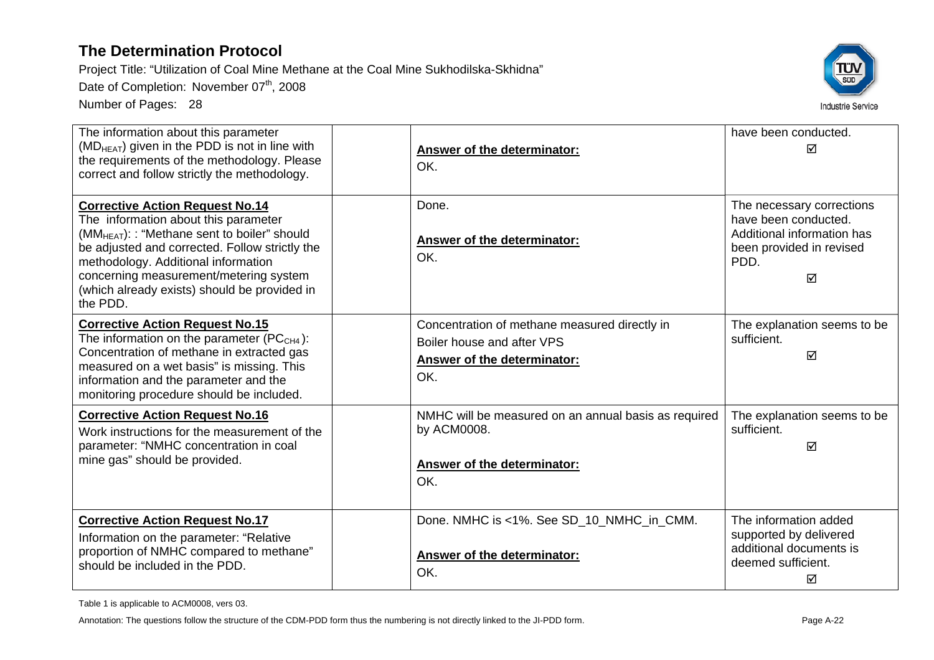Project Title: "Utilization of Coal Mine Methane at the Coal Mine Sukhodilska-Skhidna" Date of Completion: November 07<sup>th</sup>, 2008

Number of Pages: 28



| The information about this parameter<br>(MD <sub>HEAT</sub> ) given in the PDD is not in line with<br>the requirements of the methodology. Please<br>correct and follow strictly the methodology.                                                                                                                                         | Answer of the determinator:<br>OK.                                                                                | have been conducted.<br>⊠                                                                                                |
|-------------------------------------------------------------------------------------------------------------------------------------------------------------------------------------------------------------------------------------------------------------------------------------------------------------------------------------------|-------------------------------------------------------------------------------------------------------------------|--------------------------------------------------------------------------------------------------------------------------|
| <b>Corrective Action Request No.14</b><br>The information about this parameter<br>(MM <sub>HEAT</sub> ): : "Methane sent to boiler" should<br>be adjusted and corrected. Follow strictly the<br>methodology. Additional information<br>concerning measurement/metering system<br>(which already exists) should be provided in<br>the PDD. | Done.<br>Answer of the determinator:<br>OK.                                                                       | The necessary corrections<br>have been conducted.<br>Additional information has<br>been provided in revised<br>PDD.<br>☑ |
| <b>Corrective Action Request No.15</b><br>The information on the parameter (PC $_{CH4}$ ):<br>Concentration of methane in extracted gas<br>measured on a wet basis" is missing. This<br>information and the parameter and the<br>monitoring procedure should be included.                                                                 | Concentration of methane measured directly in<br>Boiler house and after VPS<br>Answer of the determinator:<br>OK. | The explanation seems to be<br>sufficient.<br>☑                                                                          |
| <b>Corrective Action Request No.16</b><br>Work instructions for the measurement of the<br>parameter: "NMHC concentration in coal<br>mine gas" should be provided.                                                                                                                                                                         | NMHC will be measured on an annual basis as required<br>by ACM0008.<br>Answer of the determinator:<br>OK.         | The explanation seems to be<br>sufficient.<br>☑                                                                          |
| <b>Corrective Action Request No.17</b><br>Information on the parameter: "Relative<br>proportion of NMHC compared to methane"<br>should be included in the PDD.                                                                                                                                                                            | Done. NMHC is <1%. See SD_10_NMHC_in_CMM.<br>Answer of the determinator:<br>OK.                                   | The information added<br>supported by delivered<br>additional documents is<br>deemed sufficient.<br>☑                    |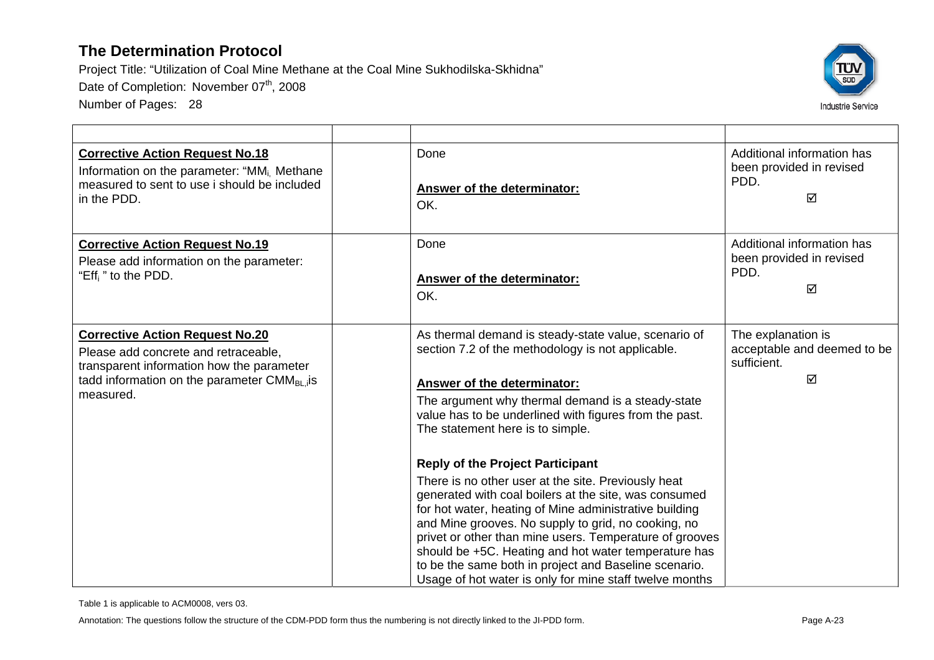Project Title: "Utilization of Coal Mine Methane at the Coal Mine Sukhodilska-Skhidna" Date of Completion: November 07<sup>th</sup>, 2008 Number of Pages: 28



| <b>Corrective Action Request No.18</b><br>Information on the parameter: "MM <sub>i.</sub> Methane<br>measured to sent to use i should be included<br>in the PDD.                              | Done<br>Answer of the determinator:<br>OK.                                                                                                                                                                                                                                                                                                                                                                                                                                                                      | Additional information has<br>been provided in revised<br>PDD.<br>☑   |
|-----------------------------------------------------------------------------------------------------------------------------------------------------------------------------------------------|-----------------------------------------------------------------------------------------------------------------------------------------------------------------------------------------------------------------------------------------------------------------------------------------------------------------------------------------------------------------------------------------------------------------------------------------------------------------------------------------------------------------|-----------------------------------------------------------------------|
| <b>Corrective Action Request No.19</b><br>Please add information on the parameter:<br>"Eff <sub>i</sub> " to the PDD.                                                                         | Done<br>Answer of the determinator:<br>OK.                                                                                                                                                                                                                                                                                                                                                                                                                                                                      | Additional information has<br>been provided in revised<br>PDD.<br>☑   |
| <b>Corrective Action Request No.20</b><br>Please add concrete and retraceable,<br>transparent information how the parameter<br>tadd information on the parameter $CMM_{BL,i}$ is<br>measured. | As thermal demand is steady-state value, scenario of<br>section 7.2 of the methodology is not applicable.<br><b>Answer of the determinator:</b><br>The argument why thermal demand is a steady-state<br>value has to be underlined with figures from the past.<br>The statement here is to simple.                                                                                                                                                                                                              | The explanation is<br>acceptable and deemed to be<br>sufficient.<br>☑ |
|                                                                                                                                                                                               | <b>Reply of the Project Participant</b><br>There is no other user at the site. Previously heat<br>generated with coal boilers at the site, was consumed<br>for hot water, heating of Mine administrative building<br>and Mine grooves. No supply to grid, no cooking, no<br>privet or other than mine users. Temperature of grooves<br>should be +5C. Heating and hot water temperature has<br>to be the same both in project and Baseline scenario.<br>Usage of hot water is only for mine staff twelve months |                                                                       |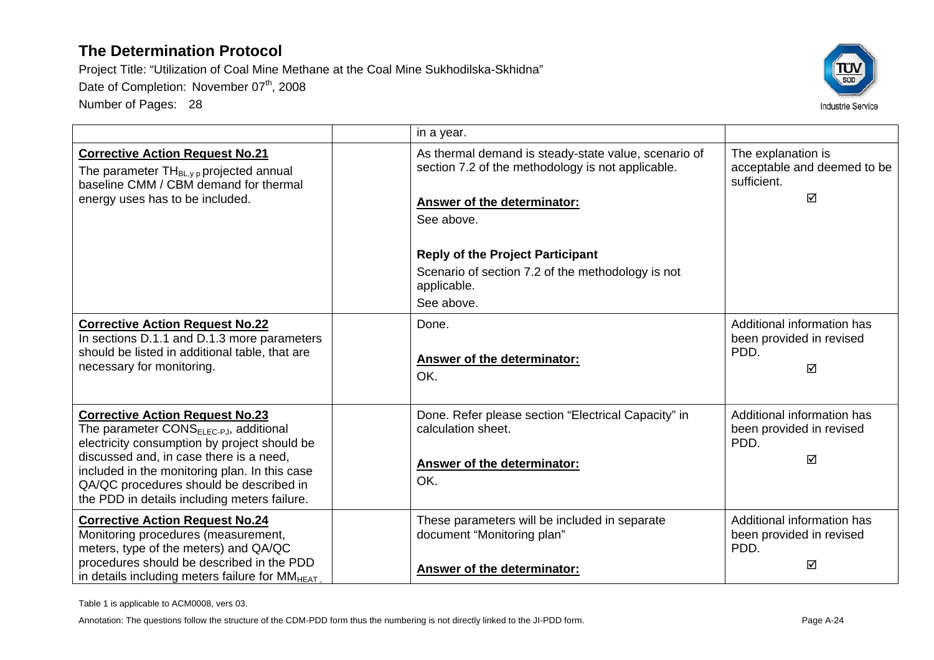Project Title: "Utilization of Coal Mine Methane at the Coal Mine Sukhodilska-Skhidna" Date of Completion: November 07<sup>th</sup>, 2008 Number of Pages: 28



|                                                                                                                                                                                                                                                                                                                                     | in a year.                                                                                                                                                                                                                                                                                 |                                                                       |
|-------------------------------------------------------------------------------------------------------------------------------------------------------------------------------------------------------------------------------------------------------------------------------------------------------------------------------------|--------------------------------------------------------------------------------------------------------------------------------------------------------------------------------------------------------------------------------------------------------------------------------------------|-----------------------------------------------------------------------|
| <b>Corrective Action Request No.21</b><br>The parameter $TH_{BL, y, p}$ projected annual<br>baseline CMM / CBM demand for thermal<br>energy uses has to be included.                                                                                                                                                                | As thermal demand is steady-state value, scenario of<br>section 7.2 of the methodology is not applicable.<br><b>Answer of the determinator:</b><br>See above.<br><b>Reply of the Project Participant</b><br>Scenario of section 7.2 of the methodology is not<br>applicable.<br>See above. | The explanation is<br>acceptable and deemed to be<br>sufficient.<br>☑ |
| <b>Corrective Action Request No.22</b><br>In sections D.1.1 and D.1.3 more parameters<br>should be listed in additional table, that are<br>necessary for monitoring.                                                                                                                                                                | Done.<br>Answer of the determinator:<br>OK.                                                                                                                                                                                                                                                | Additional information has<br>been provided in revised<br>PDD.<br>☑   |
| <b>Corrective Action Request No.23</b><br>The parameter CONS <sub>ELEC-PJ</sub> , additional<br>electricity consumption by project should be<br>discussed and, in case there is a need,<br>included in the monitoring plan. In this case<br>QA/QC procedures should be described in<br>the PDD in details including meters failure. | Done. Refer please section "Electrical Capacity" in<br>calculation sheet.<br>Answer of the determinator:<br>OK.                                                                                                                                                                            | Additional information has<br>been provided in revised<br>PDD.<br>☑   |
| <b>Corrective Action Request No.24</b><br>Monitoring procedures (measurement,<br>meters, type of the meters) and QA/QC<br>procedures should be described in the PDD<br>in details including meters failure for $MMHEAT$                                                                                                             | These parameters will be included in separate<br>document "Monitoring plan"<br>Answer of the determinator:                                                                                                                                                                                 | Additional information has<br>been provided in revised<br>PDD.<br>☑   |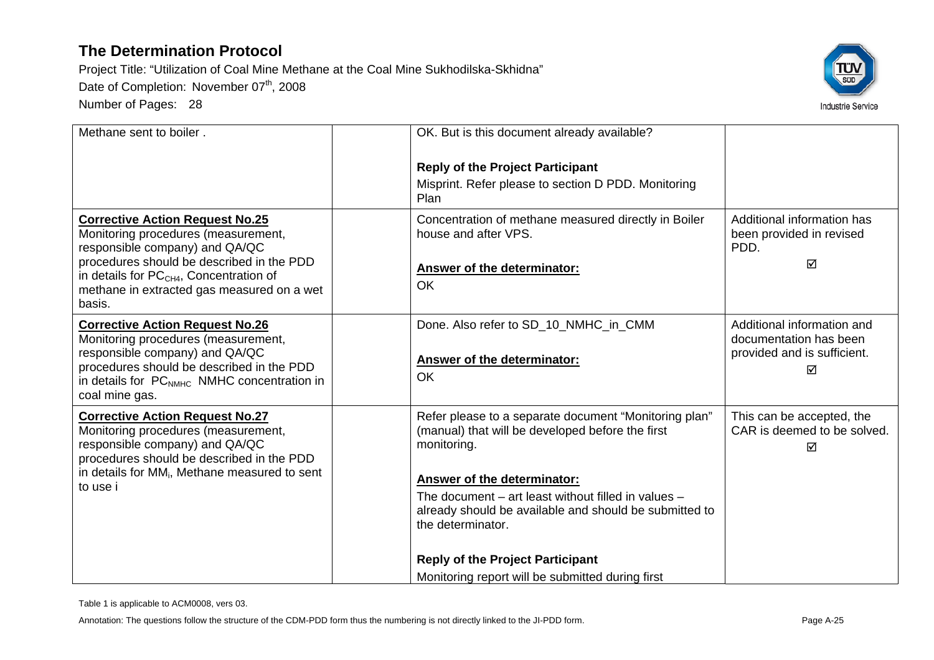Project Title: "Utilization of Coal Mine Methane at the Coal Mine Sukhodilska-Skhidna" Date of Completion: November 07<sup>th</sup>, 2008 Number of Pages: 28



| Methane sent to boiler.                                                                                                                                                                                                                                           | OK. But is this document already available?                                                                                                                                                                                                                                                   |                                                                                          |
|-------------------------------------------------------------------------------------------------------------------------------------------------------------------------------------------------------------------------------------------------------------------|-----------------------------------------------------------------------------------------------------------------------------------------------------------------------------------------------------------------------------------------------------------------------------------------------|------------------------------------------------------------------------------------------|
|                                                                                                                                                                                                                                                                   | <b>Reply of the Project Participant</b><br>Misprint. Refer please to section D PDD. Monitoring<br>Plan                                                                                                                                                                                        |                                                                                          |
| <b>Corrective Action Request No.25</b><br>Monitoring procedures (measurement,<br>responsible company) and QA/QC<br>procedures should be described in the PDD<br>in details for $PCCH4$ , Concentration of<br>methane in extracted gas measured on a wet<br>basis. | Concentration of methane measured directly in Boiler<br>house and after VPS.<br><b>Answer of the determinator:</b><br>OK                                                                                                                                                                      | Additional information has<br>been provided in revised<br>PDD.<br>☑                      |
| <b>Corrective Action Request No.26</b><br>Monitoring procedures (measurement,<br>responsible company) and QA/QC<br>procedures should be described in the PDD<br>in details for PC <sub>NMHC</sub> NMHC concentration in<br>coal mine gas.                         | Done. Also refer to SD_10_NMHC_in_CMM<br>Answer of the determinator:<br><b>OK</b>                                                                                                                                                                                                             | Additional information and<br>documentation has been<br>provided and is sufficient.<br>☑ |
| <b>Corrective Action Request No.27</b><br>Monitoring procedures (measurement,<br>responsible company) and QA/QC<br>procedures should be described in the PDD<br>in details for MM <sub>i</sub> , Methane measured to sent<br>to use i                             | Refer please to a separate document "Monitoring plan"<br>(manual) that will be developed before the first<br>monitoring.<br>Answer of the determinator:<br>The document – art least without filled in values –<br>already should be available and should be submitted to<br>the determinator. | This can be accepted, the<br>CAR is deemed to be solved.<br>☑                            |
|                                                                                                                                                                                                                                                                   | <b>Reply of the Project Participant</b>                                                                                                                                                                                                                                                       |                                                                                          |
|                                                                                                                                                                                                                                                                   | Monitoring report will be submitted during first                                                                                                                                                                                                                                              |                                                                                          |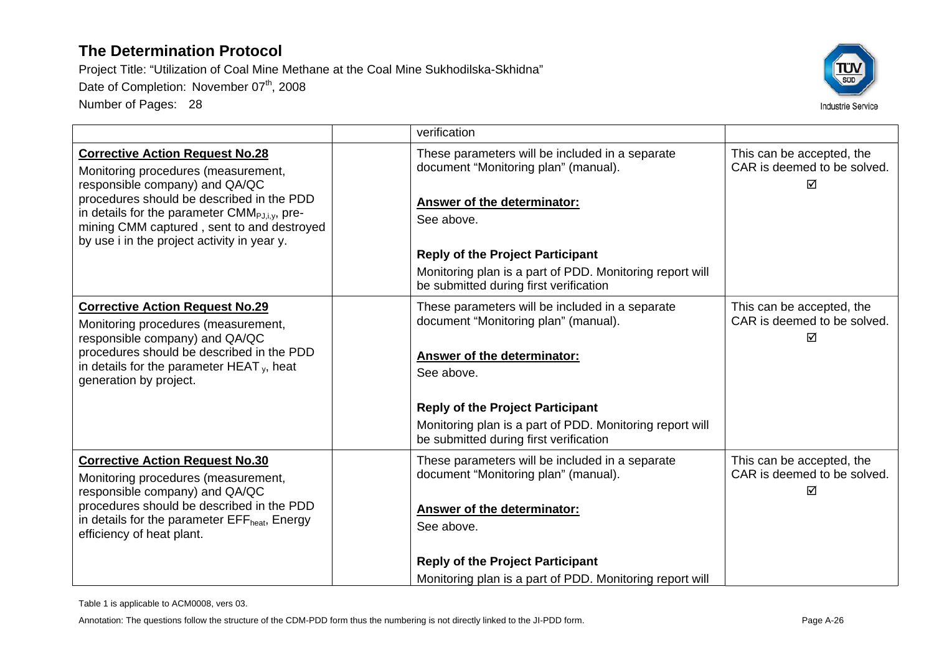Project Title: "Utilization of Coal Mine Methane at the Coal Mine Sukhodilska-Skhidna" Date of Completion: November 07<sup>th</sup>, 2008 Number of Pages: 28



|                                                                                                                                                                                                                                                                                                                        | verification                                                                                                                                                                                                                                                                                 |                                                               |
|------------------------------------------------------------------------------------------------------------------------------------------------------------------------------------------------------------------------------------------------------------------------------------------------------------------------|----------------------------------------------------------------------------------------------------------------------------------------------------------------------------------------------------------------------------------------------------------------------------------------------|---------------------------------------------------------------|
| <b>Corrective Action Request No.28</b><br>Monitoring procedures (measurement,<br>responsible company) and QA/QC<br>procedures should be described in the PDD<br>in details for the parameter CMM <sub>PJ,i,v</sub> , pre-<br>mining CMM captured, sent to and destroyed<br>by use i in the project activity in year y. | These parameters will be included in a separate<br>document "Monitoring plan" (manual).<br><b>Answer of the determinator:</b><br>See above.<br><b>Reply of the Project Participant</b><br>Monitoring plan is a part of PDD. Monitoring report will<br>be submitted during first verification | This can be accepted, the<br>CAR is deemed to be solved.<br>⊠ |
| <b>Corrective Action Request No.29</b><br>Monitoring procedures (measurement,<br>responsible company) and QA/QC<br>procedures should be described in the PDD<br>in details for the parameter HEAT $_{v}$ , heat<br>generation by project.                                                                              | These parameters will be included in a separate<br>document "Monitoring plan" (manual).<br><b>Answer of the determinator:</b><br>See above.<br><b>Reply of the Project Participant</b><br>Monitoring plan is a part of PDD. Monitoring report will<br>be submitted during first verification | This can be accepted, the<br>CAR is deemed to be solved.<br>⊠ |
| <b>Corrective Action Request No.30</b><br>Monitoring procedures (measurement,<br>responsible company) and QA/QC<br>procedures should be described in the PDD<br>in details for the parameter EFF <sub>heat</sub> , Energy<br>efficiency of heat plant.                                                                 | These parameters will be included in a separate<br>document "Monitoring plan" (manual).<br>Answer of the determinator:<br>See above.<br><b>Reply of the Project Participant</b><br>Monitoring plan is a part of PDD. Monitoring report will                                                  | This can be accepted, the<br>CAR is deemed to be solved.<br>⊠ |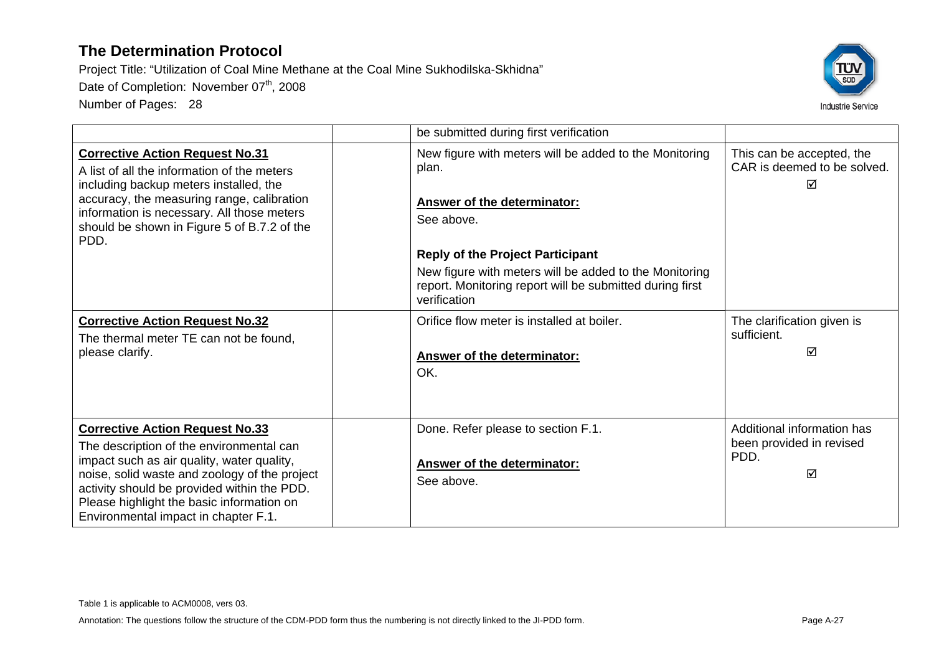

|                                                                                                                                                                                                                                                                                                                       | be submitted during first verification                                                                                                                                                                                                                                                               |                                                                     |
|-----------------------------------------------------------------------------------------------------------------------------------------------------------------------------------------------------------------------------------------------------------------------------------------------------------------------|------------------------------------------------------------------------------------------------------------------------------------------------------------------------------------------------------------------------------------------------------------------------------------------------------|---------------------------------------------------------------------|
| <b>Corrective Action Request No.31</b><br>A list of all the information of the meters<br>including backup meters installed, the<br>accuracy, the measuring range, calibration<br>information is necessary. All those meters<br>should be shown in Figure 5 of B.7.2 of the<br>PDD.                                    | New figure with meters will be added to the Monitoring<br>plan.<br><b>Answer of the determinator:</b><br>See above.<br><b>Reply of the Project Participant</b><br>New figure with meters will be added to the Monitoring<br>report. Monitoring report will be submitted during first<br>verification | This can be accepted, the<br>CAR is deemed to be solved.<br>☑       |
| <b>Corrective Action Request No.32</b><br>The thermal meter TE can not be found.<br>please clarify.                                                                                                                                                                                                                   | Orifice flow meter is installed at boiler.<br><b>Answer of the determinator:</b><br>OK.                                                                                                                                                                                                              | The clarification given is<br>sufficient.<br>☑                      |
| <b>Corrective Action Request No.33</b><br>The description of the environmental can<br>impact such as air quality, water quality,<br>noise, solid waste and zoology of the project<br>activity should be provided within the PDD.<br>Please highlight the basic information on<br>Environmental impact in chapter F.1. | Done. Refer please to section F.1.<br>Answer of the determinator:<br>See above.                                                                                                                                                                                                                      | Additional information has<br>been provided in revised<br>PDD.<br>☑ |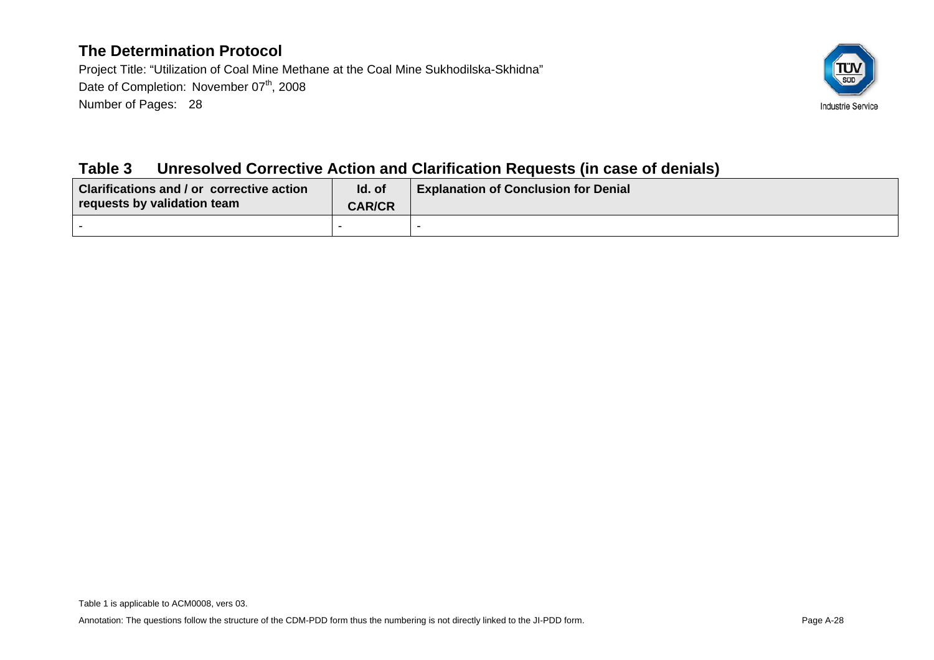Project Title: "Utilization of Coal Mine Methane at the Coal Mine Sukhodilska-Skhidna" Date of Completion: November 07<sup>th</sup>, 2008 Number of Pages: 28



### **Table 3 Unresolved Corrective Action and Clarification Requests (in case of denials)**

| <b>Clarifications and / or corrective action</b><br>requests by validation team | Id. of<br><b>CAR/CR</b> | <b>Explanation of Conclusion for Denial</b> |
|---------------------------------------------------------------------------------|-------------------------|---------------------------------------------|
|                                                                                 |                         |                                             |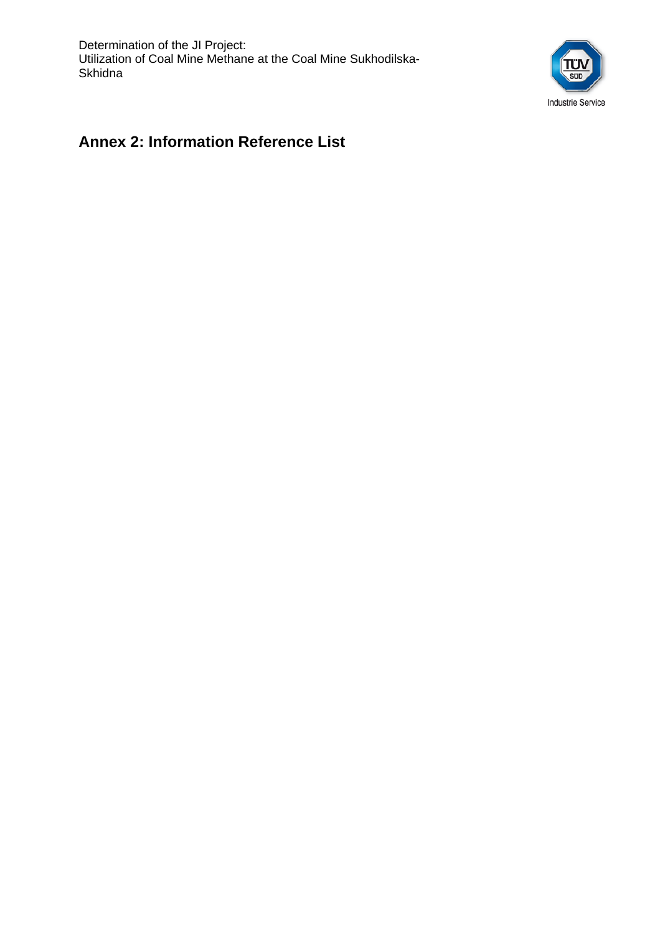Determination of the JI Project: Utilization of Coal Mine Methane at the Coal Mine Sukhodilska-**Skhidna** 



#### **Annex 2: Information Reference List**